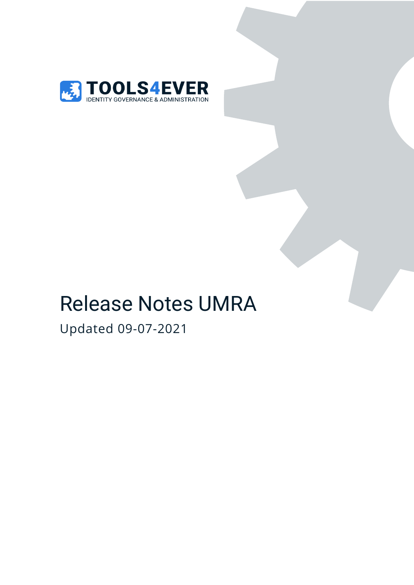

# Release Notes UMRA

Updated 09-07-2021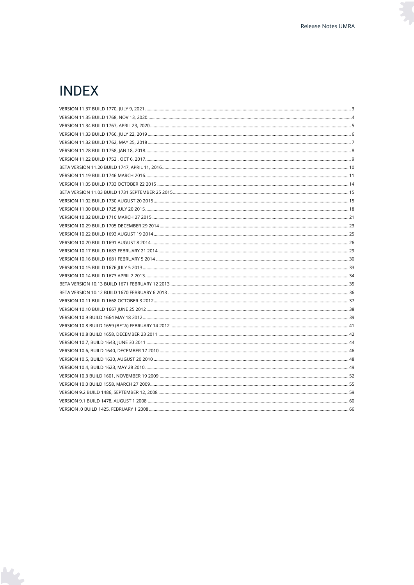## **INDEX**

M.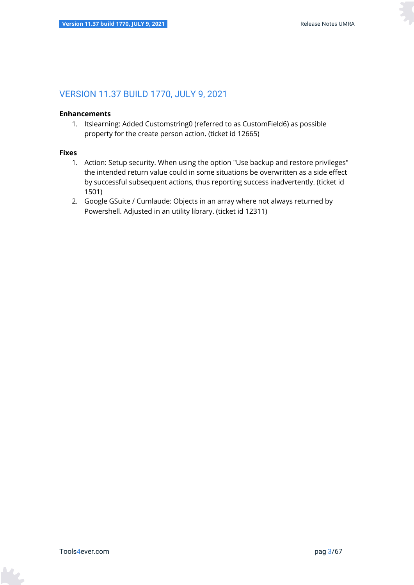### VERSION 11.37 BUILD 1770, JULY 9, 2021

### **Enhancements**

1. Itslearning: Added Customstring0 (referred to as CustomField6) as possible property for the create person action. (ticket id 12665)

### **Fixes**

- 1. Action: Setup security. When using the option "Use backup and restore privileges" the intended return value could in some situations be overwritten as a side effect by successful subsequent actions, thus reporting success inadvertently. (ticket id 1501)
- 2. Google GSuite / Cumlaude: Objects in an array where not always returned by Powershell. Adjusted in an utility library. (ticket id 12311)



 $\overline{M}_{\ell}$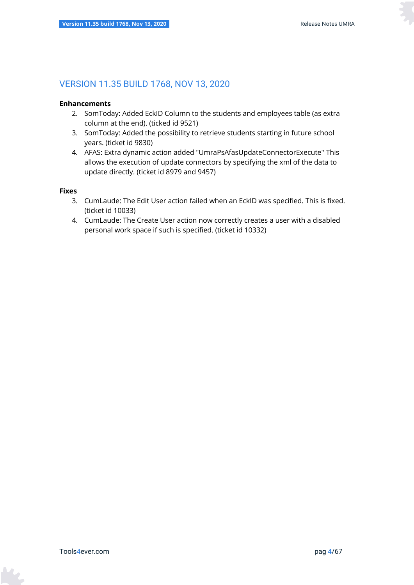### VERSION 11.35 BUILD 1768, NOV 13, 2020

### **Enhancements**

- 2. SomToday: Added EckID Column to the students and employees table (as extra column at the end). (ticked id 9521)
- 3. SomToday: Added the possibility to retrieve students starting in future school years. (ticket id 9830)
- 4. AFAS: Extra dynamic action added "UmraPsAfasUpdateConnectorExecute" This allows the execution of update connectors by specifying the xml of the data to update directly. (ticket id 8979 and 9457)

### **Fixes**

- 3. CumLaude: The Edit User action failed when an EckID was specified. This is fixed. (ticket id 10033)
- 4. CumLaude: The Create User action now correctly creates a user with a disabled personal work space if such is specified. (ticket id 10332)

M,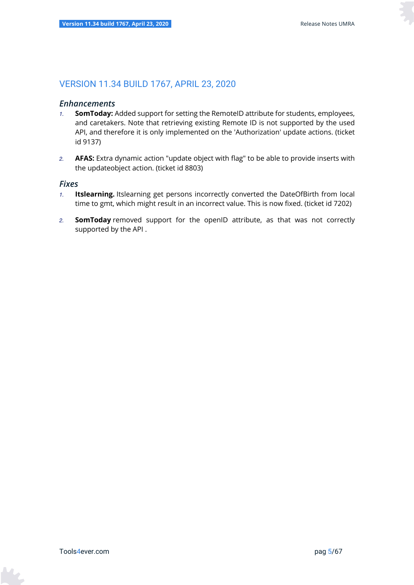### VERSION 11.34 BUILD 1767, APRIL 23, 2020

### *Enhancements*

- *1.* **SomToday:** Added support for setting the RemoteID attribute for students, employees, and caretakers. Note that retrieving existing Remote ID is not supported by the used API, and therefore it is only implemented on the 'Authorization' update actions. (ticket id 9137)
- *2.* **AFAS:** Extra dynamic action "update object with flag" to be able to provide inserts with the updateobject action. (ticket id 8803)

### *Fixes*

- *1.* **Itslearning.** Itslearning get persons incorrectly converted the DateOfBirth from local time to gmt, which might result in an incorrect value. This is now fixed. (ticket id 7202)
- *2.* **SomToday** removed support for the openID attribute, as that was not correctly supported by the API .

M,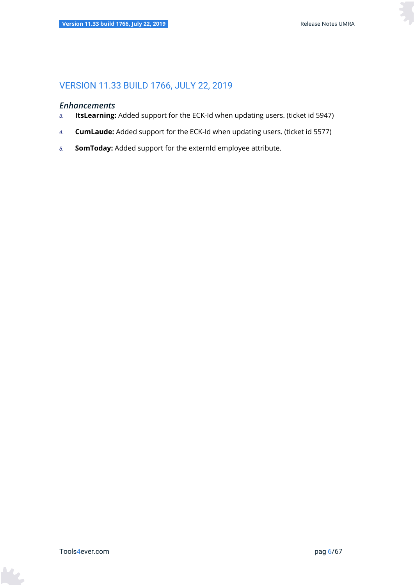### VERSION 11.33 BUILD 1766, JULY 22, 2019

### *Enhancements*

- *3.* **ItsLearning:** Added support for the ECK-Id when updating users. (ticket id 5947)
- *4.* **CumLaude:** Added support for the ECK-Id when updating users. (ticket id 5577)
- *5.* **SomToday:** Added support for the externId employee attribute.

 $M_{\chi}$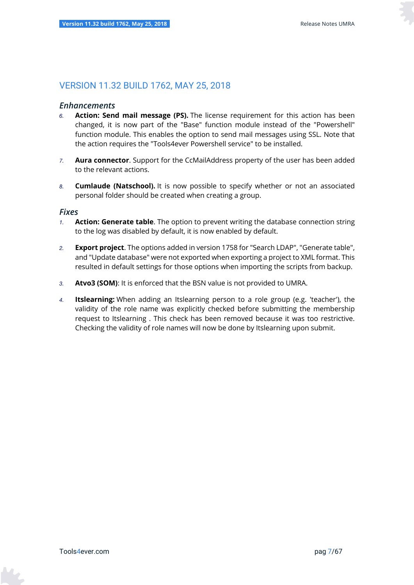### VERSION 11.32 BUILD 1762, MAY 25, 2018

### *Enhancements*

- *6.* **Action: Send mail message (PS).** The license requirement for this action has been changed, it is now part of the "Base" function module instead of the "Powershell" function module. This enables the option to send mail messages using SSL. Note that the action requires the "Tools4ever Powershell service" to be installed.
- *7.* **Aura connector**. Support for the CcMailAddress property of the user has been added to the relevant actions.
- *8.* **Cumlaude (Natschool).** It is now possible to specify whether or not an associated personal folder should be created when creating a group.

### *Fixes*

- *1.* **Action: Generate table**. The option to prevent writing the database connection string to the log was disabled by default, it is now enabled by default.
- *2.* **Export project**. The options added in version 1758 for "Search LDAP", "Generate table", and "Update database" were not exported when exporting a project to XML format. This resulted in default settings for those options when importing the scripts from backup.
- *3.* **Atvo3 (SOM)**: It is enforced that the BSN value is not provided to UMRA.
- *4.* **Itslearning:** When adding an Itslearning person to a role group (e.g. 'teacher'), the validity of the role name was explicitly checked before submitting the membership request to Itslearning . This check has been removed because it was too restrictive. Checking the validity of role names will now be done by Itslearning upon submit.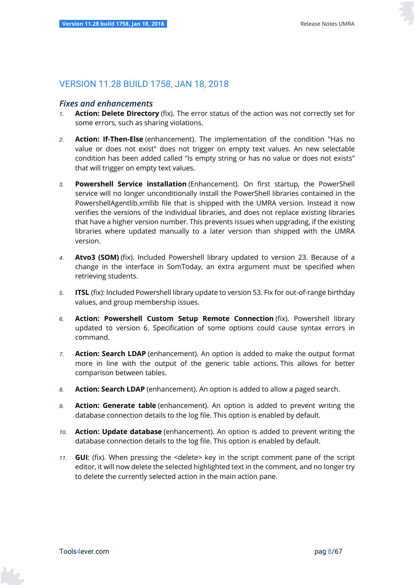### VERSION 11.28 BUILD 1758, JAN 18, 2018

- *1.* **Action: Delete Directory** (fix). The error status of the action was not correctly set for some errors, such as sharing violations.
- *2.* **Action: If-Then-Else** (enhancement). The implementation of the condition "Has no value or does not exist" does not trigger on empty text values. An new selectable condition has been added called "Is empty string or has no value or does not exists" that will trigger on empty text values.
- *3.* **Powershell Service installation** (Enhancement). On first startup, the PowerShell service will no longer unconditionally install the PowerShell libraries contained in the PowershellAgentlib.xmllib file that is shipped with the UMRA version. Instead it now verifies the versions of the individual libraries, and does not replace existing libraries that have a higher version number. This prevents issues when upgrading, if the existing libraries where updated manually to a later version than shipped with the UMRA version.
- *4.* **Atvo3 (SOM)** (fix). Included Powershell library updated to version 23. Because of a change in the interface in SomToday, an extra argument must be specified when retrieving students.
- *5.* **ITSL** (fix): Included Powershell library update to version 53. Fix for out-of-range birthday values, and group membership issues.
- *6.* **Action: Powershell Custom Setup Remote Connection** (fix). Powershell library updated to version 6. Specification of some options could cause syntax errors in command.
- *7.* **Action: Search LDAP** (enhancement). An option is added to make the output format more in line with the output of the generic table actions. This allows for better comparison between tables.
- *8.* **Action: Search LDAP** (enhancement). An option is added to allow a paged search.
- *9.* **Action: Generate table** (enhancement). An option is added to prevent writing the database connection details to the log file. This option is enabled by default.
- *10.* **Action: Update database** (enhancement). An option is added to prevent writing the database connection details to the log file. This option is enabled by default.
- *11.* **GUI**: (fix). When pressing the <delete> key in the script comment pane of the script editor, it will now delete the selected highlighted text in the comment, and no longer try to delete the currently selected action in the main action pane.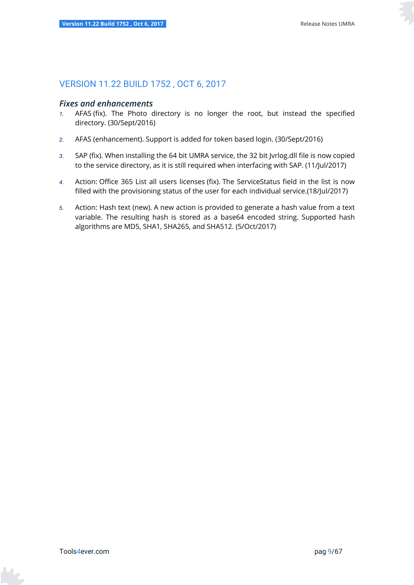### VERSION 11.22 BUILD 1752 , OCT 6, 2017

- *1.* AFAS (fix). The Photo directory is no longer the root, but instead the specified directory. (30/Sept/2016)
- *2.* AFAS (enhancement). Support is added for token based login. (30/Sept/2016)
- *3.* SAP (fix). When installing the 64 bit UMRA service, the 32 bit Jvrlog.dll file is now copied to the service directory, as it is still required when interfacing with SAP. (11/Jul/2017)
- *4.* Action: Office 365 List all users licenses (fix). The ServiceStatus field in the list is now filled with the provisioning status of the user for each individual service.(18/Jul/2017)
- *5.* Action: Hash text (new). A new action is provided to generate a hash value from a text variable. The resulting hash is stored as a base64 encoded string. Supported hash algorithms are MD5, SHA1, SHA265, and SHA512. (5/Oct/2017)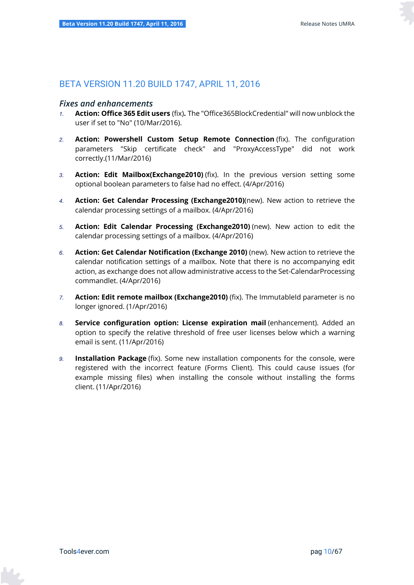### BETA VERSION 11.20 BUILD 1747, APRIL 11, 2016

- *1.* **Action: Office 365 Edit users** (fix)**.** The "Office365BlockCredential" will now unblock the user if set to "No" (10/Mar/2016).
- *2.* **Action: Powershell Custom Setup Remote Connection** (fix). The configuration parameters "Skip certificate check" and "ProxyAccessType" did not work correctly.(11/Mar/2016)
- *3.* **Action: Edit Mailbox(Exchange2010)** (fix). In the previous version setting some optional boolean parameters to false had no effect. (4/Apr/2016)
- *4.* **Action: Get Calendar Processing (Exchange2010)**(new). New action to retrieve the calendar processing settings of a mailbox. (4/Apr/2016)
- *5.* **Action: Edit Calendar Processing (Exchange2010)** (new). New action to edit the calendar processing settings of a mailbox. (4/Apr/2016)
- *6.* **Action: Get Calendar Notification (Exchange 2010)** (new). New action to retrieve the calendar notification settings of a mailbox. Note that there is no accompanying edit action, as exchange does not allow administrative access to the Set-CalendarProcessing commandlet. (4/Apr/2016)
- *7.* **Action: Edit remote mailbox (Exchange2010)** (fix). The ImmutableId parameter is no longer ignored. (1/Apr/2016)
- *8.* **Service configuration option: License expiration mail** (enhancement). Added an option to specify the relative threshold of free user licenses below which a warning email is sent. (11/Apr/2016)
- *9.* **Installation Package** (fix). Some new installation components for the console, were registered with the incorrect feature (Forms Client). This could cause issues (for example missing files) when installing the console without installing the forms client. (11/Apr/2016)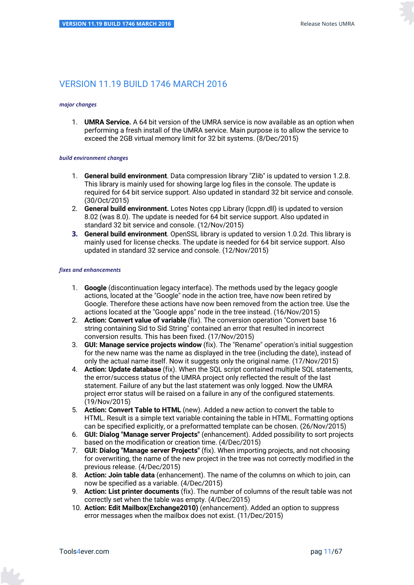### VERSION 11.19 BUILD 1746 MARCH 2016

#### *major changes*

1. **UMRA Service.** A 64 bit version of the UMRA service is now available as an option when performing a fresh install of the UMRA service. Main purpose is to allow the service to exceed the 2GB virtual memory limit for 32 bit systems. (8/Dec/2015)

#### *build environment changes*

- 1. **General build environment**. Data compression library "Zlib" is updated to version 1.2.8. This library is mainly used for showing large log files in the console. The update is required for 64 bit service support. Also updated in standard 32 bit service and console. (30/Oct/2015)
- 2. **General build environment.** Lotes Notes cpp Library (lcppn.dll) is updated to version 8.02 (was 8.0). The update is needed for 64 bit service support. Also updated in standard 32 bit service and console. (12/Nov/2015)
- **3. General build environment**. OpenSSL library is updated to version 1.0.2d. This library is mainly used for license checks. The update is needed for 64 bit service support. Also updated in standard 32 service and console. (12/Nov/2015)

- 1. **Google** (discontinuation legacy interface). The methods used by the legacy google actions, located at the "Google" node in the action tree, have now been retired by Google. Therefore these actions have now been removed from the action tree. Use the actions located at the "Google apps" node in the tree instead. (16/Nov/2015)
- 2. **Action: Convert value of variable** (fix). The conversion operation "Convert base 16 string containing Sid to Sid String" contained an error that resulted in incorrect conversion results. This has been fixed. (17/Nov/2015)
- 3. **GUI: Manage service projects window** (fix). The "Rename" operation's initial suggestion for the new name was the name as displayed in the tree (including the date), instead of only the actual name itself. Now it suggests only the original name. (17/Nov/2015)
- 4. **Action: Update database** (fix). When the SQL script contained multiple SQL statements, the error/success status of the UMRA project only reflected the result of the last statement. Failure of any but the last statement was only logged. Now the UMRA project error status will be raised on a failure in any of the configured statements. (19/Nov/2015)
- 5. **Action: Convert Table to HTML** (new). Added a new action to convert the table to HTML. Result is a simple text variable containing the table in HTML. Formatting options can be specified explicitly, or a preformatted template can be chosen. (26/Nov/2015)
- 6. **GUI: Dialog "Manage server Projects"** (enhancement). Added possibility to sort projects based on the modification or creation time. (4/Dec/2015)
- 7. **GUI: Dialog "Manage server Projects"** (fix). When importing projects, and not choosing for overwriting, the name of the new project in the tree was not correctly modified in the previous release. (4/Dec/2015)
- 8. **Action: Join table data** (enhancement). The name of the columns on which to join, can now be specified as a variable. (4/Dec/2015)
- 9. **Action: List printer documents** (fix). The number of columns of the result table was not correctly set when the table was empty. (4/Dec/2015)
- 10. **Action: Edit Mailbox(Exchange2010)** (enhancement). Added an option to suppress error messages when the mailbox does not exist. (11/Dec/2015)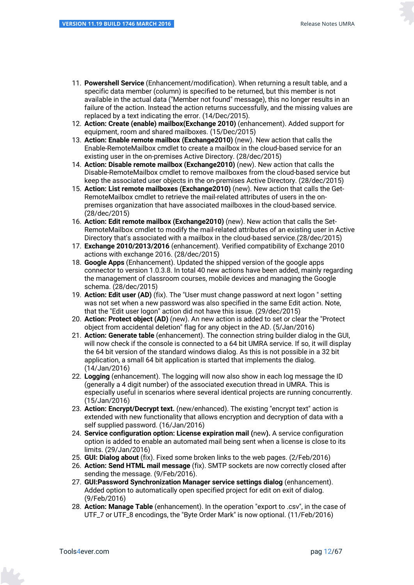- 11. **Powershell Service** (Enhancement/modification). When returning a result table, and a specific data member (column) is specified to be returned, but this member is not available in the actual data ("Member not found" message), this no longer results in an failure of the action. Instead the action returns successfully, and the missing values are replaced by a text indicating the error. (14/Dec/2015).
- 12. **Action: Create (enable) mailbox(Exchange 2010)** (enhancement). Added support for equipment, room and shared mailboxes. (15/Dec/2015)
- 13. **Action: Enable remote mailbox (Exchange2010)** (new). New action that calls the Enable-RemoteMailbox cmdlet to create a mailbox in the cloud-based service for an existing user in the on-premises Active Directory. (28/dec/2015)
- 14. **Action: Disable remote mailbox (Exchange2010)** (new). New action that calls the Disable-RemoteMailbox cmdlet to remove mailboxes from the cloud-based service but keep the associated user objects in the on-premises Active Directory. (28/dec/2015)
- 15. **Action: List remote mailboxes (Exchange2010)** (new). New action that calls the Get-RemoteMailbox cmdlet to retrieve the mail-related attributes of users in the onpremises organization that have associated mailboxes in the cloud-based service. (28/dec/2015)
- 16. **Action: Edit remote mailbox (Exchange2010)** (new). New action that calls the Set-RemoteMailbox cmdlet to modify the mail-related attributes of an existing user in Active Directory that's associated with a mailbox in the cloud-based service.(28/dec/2015)
- 17. **Exchange 2010/2013/2016** (enhancement). Verified compatibility of Exchange 2010 actions with exchange 2016. (28/dec/2015)
- 18. **Google Apps** (Enhancement). Updated the shipped version of the google apps connector to version 1.0.3.8. In total 40 new actions have been added, mainly regarding the management of classroom courses, mobile devices and managing the Google schema. (28/dec/2015)
- 19. **Action: Edit user (AD)** (fix). The "User must change password at next logon " setting was not set when a new password was also specified in the same Edit action. Note, that the "Edit user logon" action did not have this issue. (29/dec/2015)
- 20. **Action: Protect object (AD)** (new). An new action is added to set or clear the "Protect object from accidental deletion" flag for any object in the AD. (5/Jan/2016)
- 21. **Action: Generate table** (enhancement). The connection string builder dialog in the GUI, will now check if the console is connected to a 64 bit UMRA service. If so, it will display the 64 bit version of the standard windows dialog. As this is not possible in a 32 bit application, a small 64 bit application is started that implements the dialog. (14/Jan/2016)
- 22. **Logging** (enhancement). The logging will now also show in each log message the ID (generally a 4 digit number) of the associated execution thread in UMRA. This is especially useful in scenarios where several identical projects are running concurrently. (15/Jan/2016)
- 23. **Action: Encrypt/Decrypt text.** (new/enhanced). The existing "encrypt text" action is extended with new functionality that allows encryption and decryption of data with a self supplied password. (16/Jan/2016)
- 24. **Service configuration option: License expiration mail (**new**).** A service configuration option is added to enable an automated mail being sent when a license is close to its limits. (29/Jan/2016)
- 25. **GUI: Dialog about** (fix). Fixed some broken links to the web pages. (2/Feb/2016)
- 26. **Action: Send HTML mail message** (fix). SMTP sockets are now correctly closed after sending the message. (9/Feb/2016).
- 27. **GUI:Password Synchronization Manager service settings dialog** (enhancement). Added option to automatically open specified project for edit on exit of dialog. (9/Feb/2016)
- 28. **Action: Manage Table** (enhancement). In the operation "export to .csv", in the case of UTF\_7 or UTF\_8 encodings, the "Byte Order Mark" is now optional. (11/Feb/2016)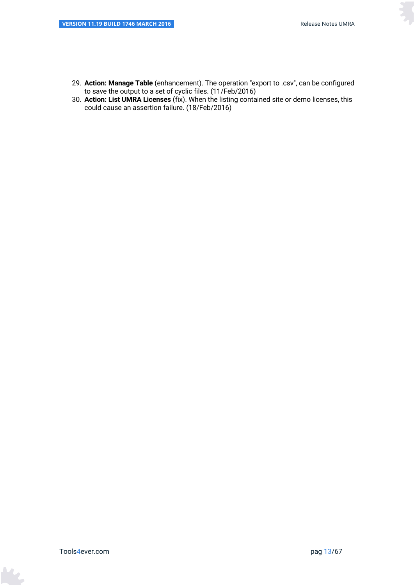$\frac{1}{2}$ 

- 29. **Action: Manage Table** (enhancement). The operation "export to .csv", can be configured to save the output to a set of cyclic files. (11/Feb/2016)
- 30. **Action: List UMRA Licenses** (fix). When the listing contained site or demo licenses, this could cause an assertion failure. (18/Feb/2016)

 $\mathbf{H}_2$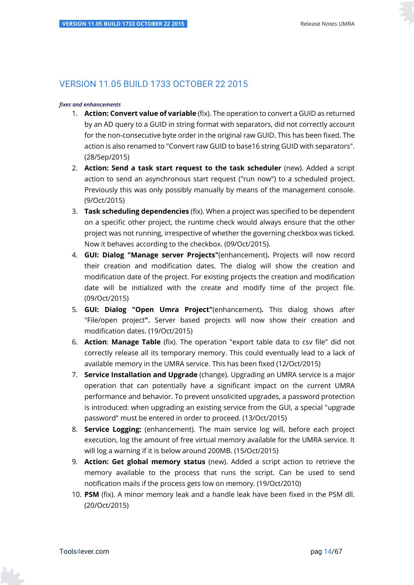### VERSION 11.05 BUILD 1733 OCTOBER 22 2015

- 1. **Action: Convert value of variable** (fix). The operation to convert a GUID as returned by an AD query to a GUID in string format with separators, did not correctly account for the non-consecutive byte order in the original raw GUID. This has been fixed. The action is also renamed to "Convert raw GUID to base16 string GUID with separators". (28/Sep/2015)
- 2. **Action: Send a task start request to the task scheduler** (new). Added a script action to send an asynchronous start request ("run now") to a scheduled project. Previously this was only possibly manually by means of the management console. (9/Oct/2015)
- 3. **Task scheduling dependencies** (fix). When a project was specified to be dependent on a specific other project, the runtime check would always ensure that the other project was not running, irrespective of whether the governing checkbox was ticked. Now it behaves according to the checkbox. (09/Oct/2015).
- 4. **GUI: Dialog "Manage server Projects"**(enhancement)**.** Projects will now record their creation and modification dates. The dialog will show the creation and modification date of the project. For existing projects the creation and modification date will be initialized with the create and modify time of the project file. (09/Oct/2015)
- 5. **GUI: Dialog "Open Umra Project"**(enhancement)**.** This dialog shows after "File/open project**".** Server based projects will now show their creation and modification dates. (19/Oct/2015)
- 6. **Action**: **Manage Table** (fix). The operation "export table data to csv file" did not correctly release all its temporary memory. This could eventually lead to a lack of available memory in the UMRA service. This has been fixed (12/Oct/2015)
- 7. **Service Installation and Upgrade** (change). Upgrading an UMRA service is a major operation that can potentially have a significant impact on the current UMRA performance and behavior. To prevent unsolicited upgrades, a password protection is introduced: when upgrading an existing service from the GUI, a special "upgrade password" must be entered in order to proceed. (13/Oct/2015)
- 8. **Service Logging:** (enhancement). The main service log will, before each project execution, log the amount of free virtual memory available for the UMRA service. It will log a warning if it is below around 200MB. (15/Oct/2015)
- 9. **Action: Get global memory status** (new). Added a script action to retrieve the memory available to the process that runs the script. Can be used to send notification mails if the process gets low on memory. (19/Oct/2010)
- 10. **PSM** (fix). A minor memory leak and a handle leak have been fixed in the PSM dll. (20/Oct/2015)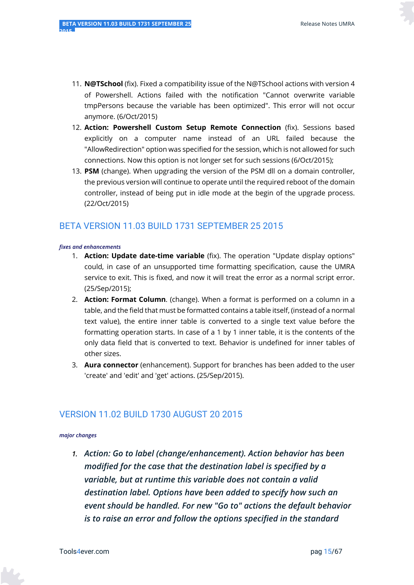- 11. **N@TSchool** (fix). Fixed a compatibility issue of the N@TSchool actions with version 4 of Powershell. Actions failed with the notification "Cannot overwrite variable tmpPersons because the variable has been optimized". This error will not occur anymore. (6/Oct/2015)
- 12. **Action: Powershell Custom Setup Remote Connection** (fix). Sessions based explicitly on a computer name instead of an URL failed because the "AllowRedirection" option was specified for the session, which is not allowed for such connections. Now this option is not longer set for such sessions (6/Oct/2015);
- 13. **PSM** (change). When upgrading the version of the PSM dll on a domain controller, the previous version will continue to operate until the required reboot of the domain controller, instead of being put in idle mode at the begin of the upgrade process. (22/Oct/2015)

### BETA VERSION 11.03 BUILD 1731 SEPTEMBER 25 2015

### *fixes and enhancements*

- 1. **Action: Update date-time variable** (fix). The operation "Update display options" could, in case of an unsupported time formatting specification, cause the UMRA service to exit. This is fixed, and now it will treat the error as a normal script error. (25/Sep/2015);
- 2. **Action: Format Column**. (change). When a format is performed on a column in a table, and the field that must be formatted contains a table itself, (instead of a normal text value), the entire inner table is converted to a single text value before the formatting operation starts. In case of a 1 by 1 inner table, it is the contents of the only data field that is converted to text. Behavior is undefined for inner tables of other sizes.
- 3. **Aura connector** (enhancement). Support for branches has been added to the user 'create' and 'edit' and 'get' actions. (25/Sep/2015).

### VERSION 11.02 BUILD 1730 AUGUST 20 2015

#### *major changes*

*1. Action: Go to label (change/enhancement). Action behavior has been modified for the case that the destination label is specified by a variable, but at runtime this variable does not contain a valid destination label. Options have been added to specify how such an event should be handled. For new "Go to" actions the default behavior is to raise an error and follow the options specified in the standard*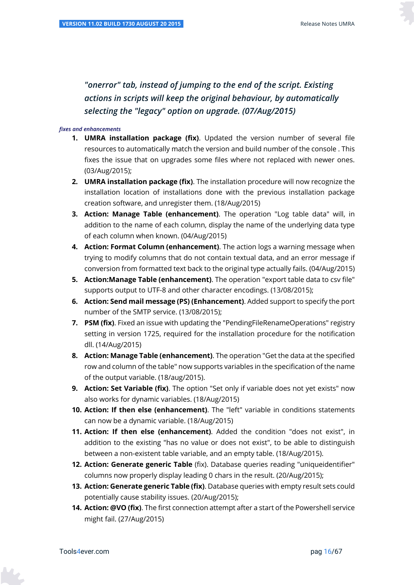*"onerror" tab, instead of jumping to the end of the script. Existing actions in scripts will keep the original behaviour, by automatically selecting the "legacy" option on upgrade. (07/Aug/2015)*

- **1. UMRA installation package (fix)**. Updated the version number of several file resources to automatically match the version and build number of the console . This fixes the issue that on upgrades some files where not replaced with newer ones. (03/Aug/2015);
- **2. UMRA installation package (fix)**. The installation procedure will now recognize the installation location of installations done with the previous installation package creation software, and unregister them. (18/Aug/2015)
- **3. Action: Manage Table (enhancement)**. The operation "Log table data" will, in addition to the name of each column, display the name of the underlying data type of each column when known. (04/Aug/2015)
- **4. Action: Format Column (enhancement)**. The action logs a warning message when trying to modify columns that do not contain textual data, and an error message if conversion from formatted text back to the original type actually fails. (04/Aug/2015)
- **5. Action:Manage Table (enhancement)**. The operation "export table data to csv file" supports output to UTF-8 and other character encodings. (13/08/2015);
- **6. Action: Send mail message (PS) (Enhancement)**. Added support to specify the port number of the SMTP service. (13/08/2015);
- **7. PSM (fix)**. Fixed an issue with updating the "PendingFileRenameOperations" registry setting in version 1725, required for the installation procedure for the notification dll. (14/Aug/2015)
- **8. Action: Manage Table (enhancement)**. The operation "Get the data at the specified row and column of the table" now supports variables in the specification of the name of the output variable. (18/aug/2015).
- **9. Action: Set Variable (fix)**. The option "Set only if variable does not yet exists" now also works for dynamic variables. (18/Aug/2015)
- **10. Action: If then else (enhancement)**. The "left" variable in conditions statements can now be a dynamic variable. (18/Aug/2015)
- **11. Action: If then else (enhancement)**. Added the condition "does not exist", in addition to the existing "has no value or does not exist", to be able to distinguish between a non-existent table variable, and an empty table. (18/Aug/2015).
- **12. Action: Generate generic Table** (fix). Database queries reading "uniqueidentifier" columns now properly display leading 0 chars in the result. (20/Aug/2015);
- **13. Action: Generate generic Table (fix)**. Database queries with empty result sets could potentially cause stability issues. (20/Aug/2015);
- **14. Action: @VO (fix)**. The first connection attempt after a start of the Powershell service might fail. (27/Aug/2015)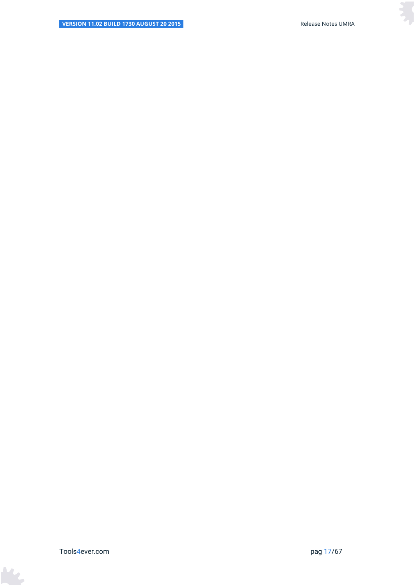M.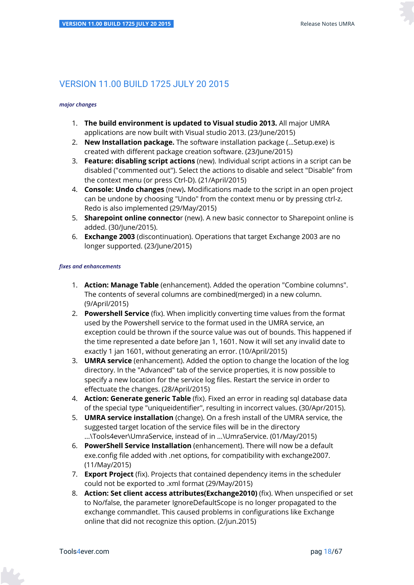### VERSION 11.00 BUILD 1725 JULY 20 2015

#### *major changes*

- 1. **The build environment is updated to Visual studio 2013.** All major UMRA applications are now built with Visual studio 2013. (23/June/2015)
- 2. **New Installation package.** The software installation package (...Setup.exe) is created with different package creation software. (23/June/2015)
- 3. **Feature: disabling script actions** (new). Individual script actions in a script can be disabled ("commented out"). Select the actions to disable and select "Disable" from the context menu (or press Ctrl-D). (21/April/2015)
- 4. **Console: Undo changes** (new)**.** Modifications made to the script in an open project can be undone by choosing "Undo" from the context menu or by pressing ctrl-z. Redo is also implemented (29/May/2015)
- 5. **Sharepoint online connecto**r (new). A new basic connector to Sharepoint online is added. (30/June/2015).
- 6. **Exchange 2003** (discontinuation). Operations that target Exchange 2003 are no longer supported. (23/June/2015)

- 1. **Action: Manage Table** (enhancement). Added the operation "Combine columns". The contents of several columns are combined(merged) in a new column. (9/April/2015)
- 2. **Powershell Service** (fix). When implicitly converting time values from the format used by the Powershell service to the format used in the UMRA service, an exception could be thrown if the source value was out of bounds. This happened if the time represented a date before Jan 1, 1601. Now it will set any invalid date to exactly 1 jan 1601, without generating an error. (10/April/2015)
- 3. **UMRA service** (enhancement). Added the option to change the location of the log directory. In the "Advanced" tab of the service properties, it is now possible to specify a new location for the service log files. Restart the service in order to effectuate the changes. (28/April/2015)
- 4. **Action: Generate generic Table** (fix). Fixed an error in reading sql database data of the special type "uniqueidentifier", resulting in incorrect values. (30/Apr/2015).
- 5. **UMRA service installation** (change). On a fresh install of the UMRA service, the suggested target location of the service files will be in the directory ...\Tools4ever\UmraService, instead of in ...\UmraService. (01/May/2015)
- 6. **PowerShell Service Installation** (enhancement). There will now be a default exe.config file added with .net options, for compatibility with exchange2007. (11/May/2015)
- 7. **Export Project** (fix). Projects that contained dependency items in the scheduler could not be exported to .xml format (29/May/2015)
- 8. **Action: Set client access attributes(Exchange2010)** (fix). When unspecified or set to No/false, the parameter IgnoreDefaultScope is no longer propagated to the exchange commandlet. This caused problems in configurations like Exchange online that did not recognize this option. (2/jun.2015)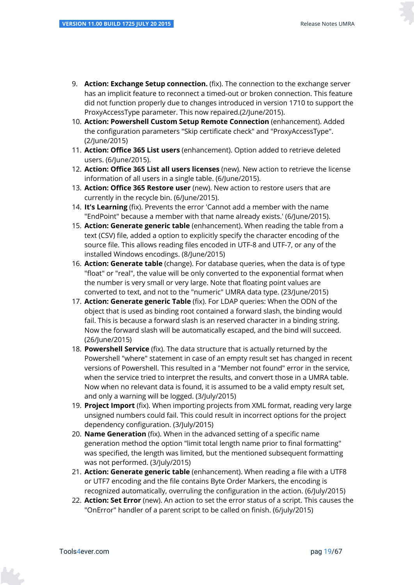- 9. **Action: Exchange Setup connection.** (fix). The connection to the exchange server has an implicit feature to reconnect a timed-out or broken connection. This feature did not function properly due to changes introduced in version 1710 to support the ProxyAccessType parameter. This now repaired.(2/June/2015).
- 10. **Action: Powershell Custom Setup Remote Connection** (enhancement). Added the configuration parameters "Skip certificate check" and "ProxyAccessType". (2/June/2015)
- 11. **Action: Office 365 List users** (enhancement). Option added to retrieve deleted users. (6/June/2015).
- 12. **Action: Office 365 List all users licenses** (new). New action to retrieve the license information of all users in a single table. (6/June/2015).
- 13. **Action: Office 365 Restore user** (new). New action to restore users that are currently in the recycle bin. (6/June/2015).
- 14. **It's Learning** (fix). Prevents the error 'Cannot add a member with the name "EndPoint" because a member with that name already exists.' (6/June/2015).
- 15. **Action: Generate generic table** (enhancement). When reading the table from a text (CSV) file, added a option to explicitly specify the character encoding of the source file. This allows reading files encoded in UTF-8 and UTF-7, or any of the installed Windows encodings. (8/June/2015)
- 16. **Action: Generate table** (change). For database queries, when the data is of type "float" or "real", the value will be only converted to the exponential format when the number is very small or very large. Note that floating point values are converted to text, and not to the "numeric" UMRA data type. (23/June/2015)
- 17. **Action: Generate generic Table** (fix). For LDAP queries: When the ODN of the object that is used as binding root contained a forward slash, the binding would fail. This is because a forward slash is an reserved character in a binding string. Now the forward slash will be automatically escaped, and the bind will succeed. (26/June/2015)
- 18. **Powershell Service** (fix). The data structure that is actually returned by the Powershell "where" statement in case of an empty result set has changed in recent versions of Powershell. This resulted in a "Member not found" error in the service, when the service tried to interpret the results, and convert those in a UMRA table. Now when no relevant data is found, it is assumed to be a valid empty result set, and only a warning will be logged. (3/July/2015)
- 19. **Project Import** (fix). When importing projects from XML format, reading very large unsigned numbers could fail. This could result in incorrect options for the project dependency configuration. (3/July/2015)
- 20. **Name Generation** (fix). When in the advanced setting of a specific name generation method the option "limit total length name prior to final formatting" was specified, the length was limited, but the mentioned subsequent formatting was not performed. (3/July/2015)
- 21. **Action: Generate generic table** (enhancement). When reading a file with a UTF8 or UTF7 encoding and the file contains Byte Order Markers, the encoding is recognized automatically, overruling the configuration in the action. (6/July/2015)
- 22. **Action: Set Error** (new). An action to set the error status of a script. This causes the "OnError" handler of a parent script to be called on finish. (6/july/2015)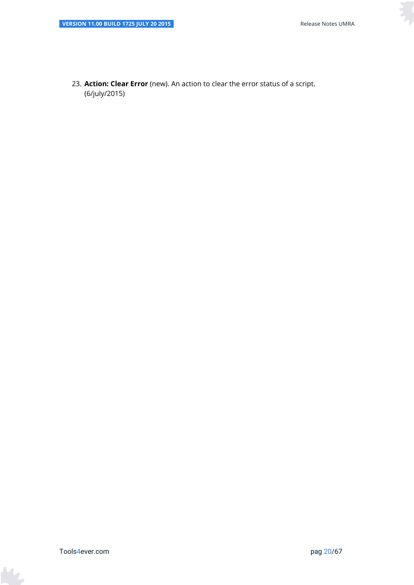23. **Action: Clear Error** (new). An action to clear the error status of a script. (6/july/2015)

M B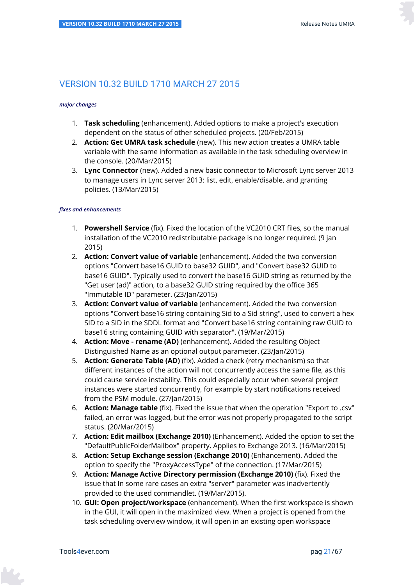### VERSION 10.32 BUILD 1710 MARCH 27 2015

### *major changes*

- 1. **Task scheduling** (enhancement). Added options to make a project's execution dependent on the status of other scheduled projects. (20/Feb/2015)
- 2. **Action: Get UMRA task schedule** (new). This new action creates a UMRA table variable with the same information as available in the task scheduling overview in the console. (20/Mar/2015)
- 3. **Lync Connector** (new). Added a new basic connector to Microsoft Lync server 2013 to manage users in Lync server 2013: list, edit, enable/disable, and granting policies. (13/Mar/2015)

- 1. **Powershell Service** (fix). Fixed the location of the VC2010 CRT files, so the manual installation of the VC2010 redistributable package is no longer required. (9 jan 2015)
- 2. **Action: Convert value of variable** (enhancement). Added the two conversion options "Convert base16 GUID to base32 GUID", and "Convert base32 GUID to base16 GUID". Typically used to convert the base16 GUID string as returned by the "Get user (ad)" action, to a base32 GUID string required by the office 365 "Immutable ID" parameter. (23/Jan/2015)
- 3. **Action: Convert value of variable** (enhancement). Added the two conversion options "Convert base16 string containing Sid to a Sid string", used to convert a hex SID to a SID in the SDDL format and "Convert base16 string containing raw GUID to base16 string containing GUID with separator". (19/Mar/2015)
- 4. **Action: Move - rename (AD)** (enhancement). Added the resulting Object Distinguished Name as an optional output parameter. (23/Jan/2015)
- 5. **Action: Generate Table (AD)** (fix). Added a check (retry mechanism) so that different instances of the action will not concurrently access the same file, as this could cause service instability. This could especially occur when several project instances were started concurrently, for example by start notifications received from the PSM module. (27/Jan/2015)
- 6. **Action: Manage table** (fix). Fixed the issue that when the operation "Export to .csv" failed, an error was logged, but the error was not properly propagated to the script status. (20/Mar/2015)
- 7. **Action: Edit mailbox (Exchange 2010)** (Enhancement). Added the option to set the "DefaultPublicFolderMailbox" property. Applies to Exchange 2013. (16/Mar/2015)
- 8. **Action: Setup Exchange session (Exchange 2010)** (Enhancement). Added the option to specify the "ProxyAccessType" of the connection. (17/Mar/2015)
- 9. **Action: Manage Active Directory permission (Exchange 2010)** (fix). Fixed the issue that In some rare cases an extra "server" parameter was inadvertently provided to the used commandlet. (19/Mar/2015).
- 10. **GUI: Open project/workspace** (enhancement). When the first workspace is shown in the GUI, it will open in the maximized view. When a project is opened from the task scheduling overview window, it will open in an existing open workspace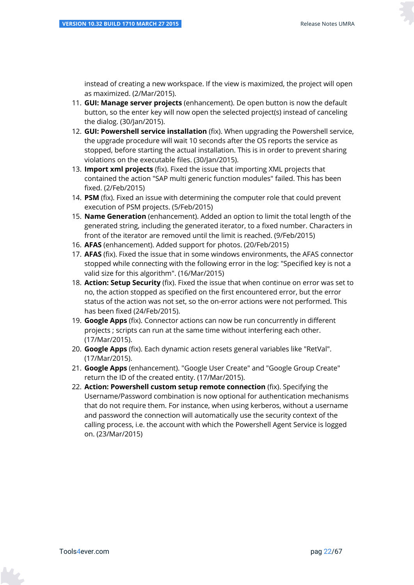instead of creating a new workspace. If the view is maximized, the project will open as maximized. (2/Mar/2015).

- 11. **GUI: Manage server projects** (enhancement). De open button is now the default button, so the enter key will now open the selected project(s) instead of canceling the dialog. (30/Jan/2015).
- 12. **GUI: Powershell service installation** (fix). When upgrading the Powershell service, the upgrade procedure will wait 10 seconds after the OS reports the service as stopped, before starting the actual installation. This is in order to prevent sharing violations on the executable files. (30/Jan/2015).
- 13. **Import xml projects** (fix). Fixed the issue that importing XML projects that contained the action "SAP multi generic function modules" failed. This has been fixed. (2/Feb/2015)
- 14. **PSM** (fix). Fixed an issue with determining the computer role that could prevent execution of PSM projects. (5/Feb/2015)
- 15. **Name Generation** (enhancement). Added an option to limit the total length of the generated string, including the generated iterator, to a fixed number. Characters in front of the iterator are removed until the limit is reached. (9/Feb/2015)
- 16. **AFAS** (enhancement). Added support for photos. (20/Feb/2015)
- 17. **AFAS** (fix). Fixed the issue that in some windows environments, the AFAS connector stopped while connecting with the following error in the log: "Specified key is not a valid size for this algorithm". (16/Mar/2015)
- 18. **Action: Setup Security** (fix). Fixed the issue that when continue on error was set to no, the action stopped as specified on the first encountered error, but the error status of the action was not set, so the on-error actions were not performed. This has been fixed (24/Feb/2015).
- 19. **Google Apps** (fix). Connector actions can now be run concurrently in different projects ; scripts can run at the same time without interfering each other. (17/Mar/2015).
- 20. **Google Apps** (fix). Each dynamic action resets general variables like "RetVal". (17/Mar/2015).
- 21. **Google Apps** (enhancement). "Google User Create" and "Google Group Create" return the ID of the created entity. (17/Mar/2015).
- 22. **Action: Powershell custom setup remote connection** (fix). Specifying the Username/Password combination is now optional for authentication mechanisms that do not require them. For instance, when using kerberos, without a username and password the connection will automatically use the security context of the calling process, i.e. the account with which the Powershell Agent Service is logged on. (23/Mar/2015)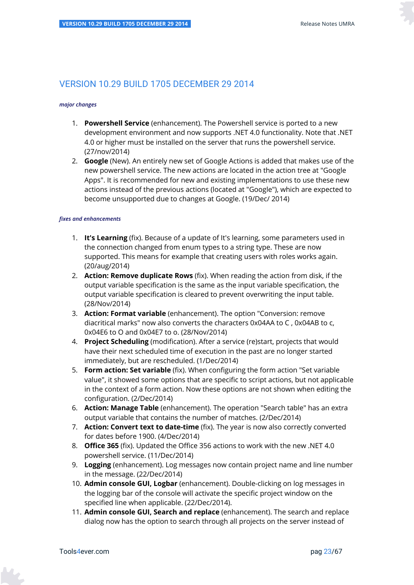### VERSION 10.29 BUILD 1705 DECEMBER 29 2014

#### *major changes*

- 1. **Powershell Service** (enhancement). The Powershell service is ported to a new development environment and now supports .NET 4.0 functionality. Note that .NET 4.0 or higher must be installed on the server that runs the powershell service. (27/nov/2014)
- 2. **Google** (New). An entirely new set of Google Actions is added that makes use of the new powershell service. The new actions are located in the action tree at "Google Apps". It is recommended for new and existing implementations to use these new actions instead of the previous actions (located at "Google"), which are expected to become unsupported due to changes at Google. (19/Dec/ 2014)

- 1. **It's Learning** (fix). Because of a update of It's learning, some parameters used in the connection changed from enum types to a string type. These are now supported. This means for example that creating users with roles works again. (20/aug/2014)
- 2. **Action: Remove duplicate Rows** (fix). When reading the action from disk, if the output variable specification is the same as the input variable specification, the output variable specification is cleared to prevent overwriting the input table. (28/Nov/2014)
- 3. **Action: Format variable** (enhancement). The option "Conversion: remove diacritical marks" now also converts the characters 0x04AA to C , 0x04AB to c, 0x04E6 to O and 0x04E7 to o. (28/Nov/2014)
- 4. **Project Scheduling** (modification). After a service (re)start, projects that would have their next scheduled time of execution in the past are no longer started immediately, but are rescheduled. (1/Dec/2014)
- 5. **Form action: Set variable** (fix). When configuring the form action "Set variable value", it showed some options that are specific to script actions, but not applicable in the context of a form action. Now these options are not shown when editing the configuration. (2/Dec/2014)
- 6. **Action: Manage Table** (enhancement). The operation "Search table" has an extra output variable that contains the number of matches. (2/Dec/2014)
- 7. **Action: Convert text to date-time** (fix). The year is now also correctly converted for dates before 1900. (4/Dec/2014)
- 8. **Office 365** (fix). Updated the Office 356 actions to work with the new .NET 4.0 powershell service. (11/Dec/2014)
- 9. **Logging** (enhancement). Log messages now contain project name and line number in the message. (22/Dec/2014)
- 10. **Admin console GUI, Logbar** (enhancement). Double-clicking on log messages in the logging bar of the console will activate the specific project window on the specified line when applicable. (22/Dec/2014).
- 11. **Admin console GUI, Search and replace** (enhancement). The search and replace dialog now has the option to search through all projects on the server instead of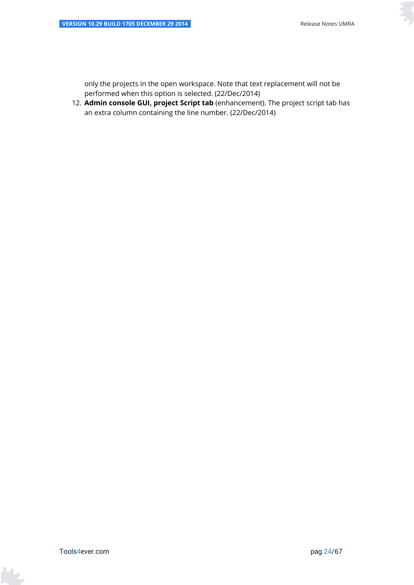$\frac{1}{2}$ 

only the projects in the open workspace. Note that text replacement will not be performed when this option is selected. (22/Dec/2014)

12. **Admin console GUI, project Script tab** (enhancement). The project script tab has an extra column containing the line number. (22/Dec/2014)

 $\mathbf{H}_2$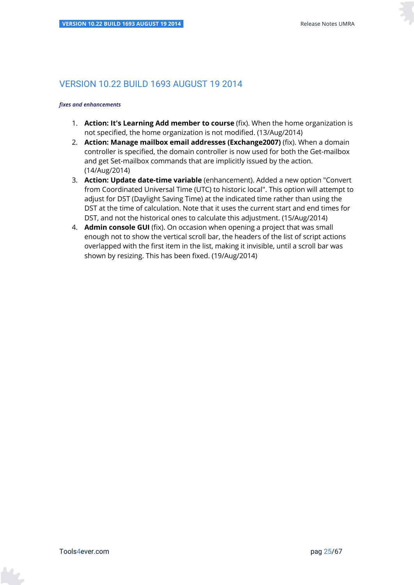### VERSION 10.22 BUILD 1693 AUGUST 19 2014

- 1. **Action: It's Learning Add member to course** (fix). When the home organization is not specified, the home organization is not modified. (13/Aug/2014)
- 2. **Action: Manage mailbox email addresses (Exchange2007)** (fix). When a domain controller is specified, the domain controller is now used for both the Get-mailbox and get Set-mailbox commands that are implicitly issued by the action. (14/Aug/2014)
- 3. **Action: Update date-time variable** (enhancement). Added a new option "Convert from Coordinated Universal Time (UTC) to historic local". This option will attempt to adjust for DST (Daylight Saving Time) at the indicated time rather than using the DST at the time of calculation. Note that it uses the current start and end times for DST, and not the historical ones to calculate this adjustment. (15/Aug/2014)
- 4. **Admin console GUI** (fix). On occasion when opening a project that was small enough not to show the vertical scroll bar, the headers of the list of script actions overlapped with the first item in the list, making it invisible, until a scroll bar was shown by resizing. This has been fixed. (19/Aug/2014)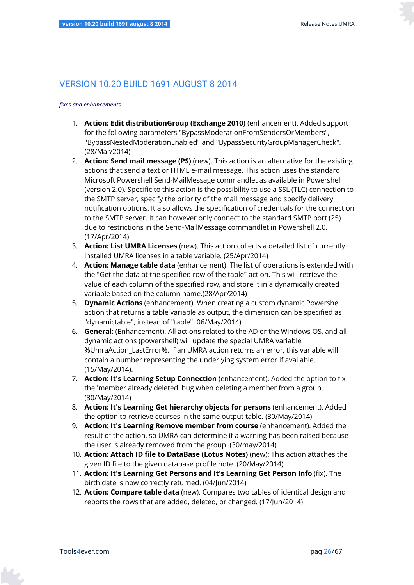### VERSION 10.20 BUILD 1691 AUGUST 8 2014

- 1. **Action: Edit distributionGroup (Exchange 2010)** (enhancement). Added support for the following parameters "BypassModerationFromSendersOrMembers", "BypassNestedModerationEnabled" and "BypassSecurityGroupManagerCheck". (28/Mar/2014)
- 2. **Action: Send mail message (PS)** (new). This action is an alternative for the existing actions that send a text or HTML e-mail message. This action uses the standard Microsoft Powershell Send-MailMessage commandlet as available in Powershell (version 2.0). Specific to this action is the possibility to use a SSL (TLC) connection to the SMTP server, specify the priority of the mail message and specify delivery notification options. It also allows the specification of credentials for the connection to the SMTP server. It can however only connect to the standard SMTP port (25) due to restrictions in the Send-MailMessage commandlet in Powershell 2.0. (17/Apr/2014)
- 3. **Action: List UMRA Licenses** (new). This action collects a detailed list of currently installed UMRA licenses in a table variable. (25/Apr/2014)
- 4. **Action: Manage table data** (enhancement). The list of operations is extended with the "Get the data at the specified row of the table" action. This will retrieve the value of each column of the specified row, and store it in a dynamically created variable based on the column name.(28/Apr/2014)
- 5. **Dynamic Actions** (enhancement). When creating a custom dynamic Powershell action that returns a table variable as output, the dimension can be specified as "dynamictable", instead of "table". 06/May/2014)
- 6. **General**: (Enhancement). All actions related to the AD or the Windows OS, and all dynamic actions (powershell) will update the special UMRA variable %UmraAction\_LastError%. If an UMRA action returns an error, this variable will contain a number representing the underlying system error if available. (15/May/2014).
- 7. **Action: It's Learning Setup Connection** (enhancement). Added the option to fix the 'member already deleted' bug when deleting a member from a group. (30/May/2014)
- 8. **Action: It's Learning Get hierarchy objects for persons** (enhancement). Added the option to retrieve courses in the same output table. (30/May/2014)
- 9. **Action: It's Learning Remove member from course** (enhancement). Added the result of the action, so UMRA can determine if a warning has been raised because the user is already removed from the group. (30/may/2014)
- 10. **Action: Attach ID file to DataBase (Lotus Notes)** (new): This action attaches the given ID file to the given database profile note. (20/May/2014)
- 11. **Action: It's Learning Get Persons and It's Learning Get Person Info** (fix). The birth date is now correctly returned. (04/Jun/2014)
- 12. **Action: Compare table data** (new). Compares two tables of identical design and reports the rows that are added, deleted, or changed. (17/Jun/2014)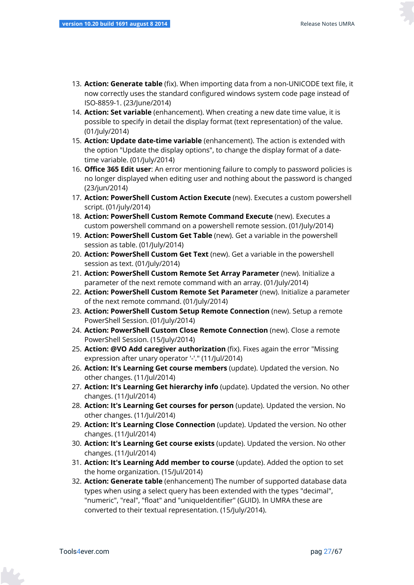- 13. **Action: Generate table** (fix). When importing data from a non-UNICODE text file, it now correctly uses the standard configured windows system code page instead of ISO-8859-1. (23/June/2014)
- 14. **Action: Set variable** (enhancement). When creating a new date time value, it is possible to specify in detail the display format (text representation) of the value. (01/July/2014)
- 15. **Action: Update date-time variable** (enhancement). The action is extended with the option "Update the display options", to change the display format of a datetime variable. (01/July/2014)
- 16. **Office 365 Edit user**: An error mentioning failure to comply to password policies is no longer displayed when editing user and nothing about the password is changed (23/jun/2014)
- 17. **Action: PowerShell Custom Action Execute** (new). Executes a custom powershell script. (01/july/2014)
- 18. **Action: PowerShell Custom Remote Command Execute** (new). Executes a custom powershell command on a powershell remote session. (01/July/2014)
- 19. **Action: PowerShell Custom Get Table** (new). Get a variable in the powershell session as table. (01/July/2014)
- 20. **Action: PowerShell Custom Get Text** (new). Get a variable in the powershell session as text. (01/July/2014)
- 21. **Action: PowerShell Custom Remote Set Array Parameter** (new). Initialize a parameter of the next remote command with an array. (01/July/2014)
- 22. **Action: PowerShell Custom Remote Set Parameter** (new). Initialize a parameter of the next remote command. (01/July/2014)
- 23. **Action: PowerShell Custom Setup Remote Connection** (new). Setup a remote PowerShell Session. (01/July/2014)
- 24. **Action: PowerShell Custom Close Remote Connection** (new). Close a remote PowerShell Session. (15/July/2014)
- 25. **Action: @VO Add caregiver authorization** (fix). Fixes again the error "Missing expression after unary operator '-'." (11/Jul/2014)
- 26. **Action: It's Learning Get course members** (update). Updated the version. No other changes. (11/Jul/2014)
- 27. **Action: It's Learning Get hierarchy info** (update). Updated the version. No other changes. (11/Jul/2014)
- 28. **Action: It's Learning Get courses for person** (update). Updated the version. No other changes. (11/Jul/2014)
- 29. **Action: It's Learning Close Connection** (update). Updated the version. No other changes. (11/Jul/2014)
- 30. **Action: It's Learning Get course exists** (update). Updated the version. No other changes. (11/Jul/2014)
- 31. **Action: It's Learning Add member to course** (update). Added the option to set the home organization. (15/Jul/2014)
- 32. **Action: Generate table** (enhancement) The number of supported database data types when using a select query has been extended with the types "decimal", "numeric", "real", "float" and "uniqueIdentifier" (GUID). In UMRA these are converted to their textual representation. (15/July/2014).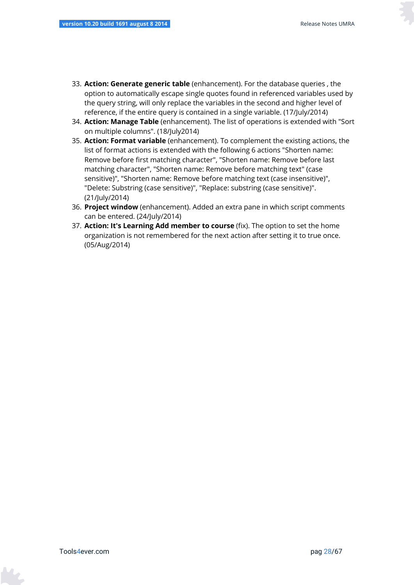- 33. **Action: Generate generic table** (enhancement). For the database queries , the option to automatically escape single quotes found in referenced variables used by the query string, will only replace the variables in the second and higher level of reference, if the entire query is contained in a single variable. (17/July/2014)
- 34. **Action: Manage Table** (enhancement). The list of operations is extended with "Sort on multiple columns". (18/July2014)
- 35. **Action: Format variable** (enhancement). To complement the existing actions, the list of format actions is extended with the following 6 actions "Shorten name: Remove before first matching character", "Shorten name: Remove before last matching character", "Shorten name: Remove before matching text" (case sensitive)", "Shorten name: Remove before matching text (case insensitive)", "Delete: Substring (case sensitive)", "Replace: substring (case sensitive)". (21/July/2014)
- 36. **Project window** (enhancement). Added an extra pane in which script comments can be entered. (24/July/2014)
- 37. **Action: It's Learning Add member to course** (fix). The option to set the home organization is not remembered for the next action after setting it to true once. (05/Aug/2014)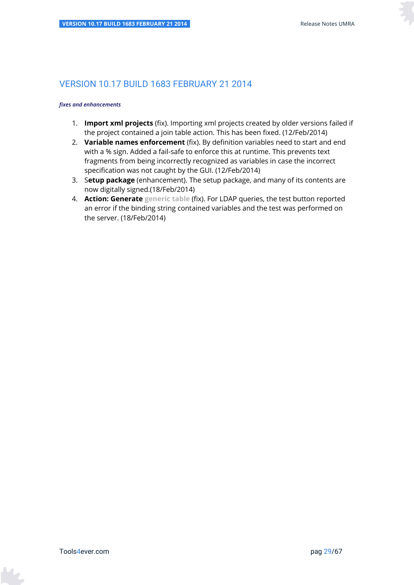### VERSION 10.17 BUILD 1683 FEBRUARY 21 2014

- 1. **Import xml projects** (fix). Importing xml projects created by older versions failed if the project contained a join table action. This has been fixed. (12/Feb/2014)
- 2. **Variable names enforcement** (fix). By definition variables need to start and end with a % sign. Added a fail-safe to enforce this at runtime. This prevents text fragments from being incorrectly recognized as variables in case the incorrect specification was not caught by the GUI. (12/Feb/2014)
- 3. S**etup package** (enhancement). The setup package, and many of its contents are now digitally signed.(18/Feb/2014)
- 4. **Action: Generate generic table** (fix). For LDAP queries, the test button reported an error if the binding string contained variables and the test was performed on the server. (18/Feb/2014)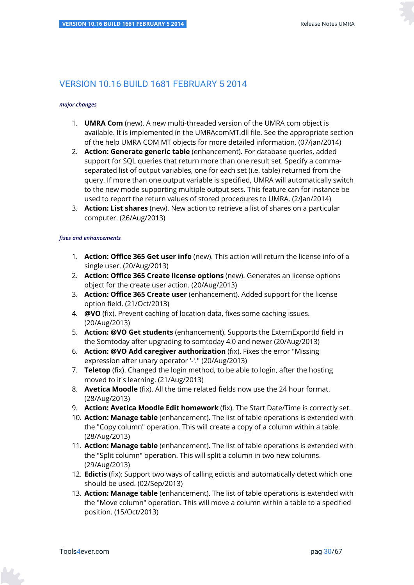### VERSION 10.16 BUILD 1681 FEBRUARY 5 2014

#### *major changes*

- 1. **UMRA Com** (new). A new multi-threaded version of the UMRA com object is available. It is implemented in the UMRAcomMT.dll file. See the appropriate section of the help UMRA COM MT objects for more detailed information. (07/jan/2014)
- 2. **Action: Generate generic table** (enhancement). For database queries, added support for SQL queries that return more than one result set. Specify a commaseparated list of output variables, one for each set (i.e. table) returned from the query. If more than one output variable is specified, UMRA will automatically switch to the new mode supporting multiple output sets. This feature can for instance be used to report the return values of stored procedures to UMRA. (2/Jan/2014)
- 3. **Action: List shares** (new). New action to retrieve a list of shares on a particular computer. (26/Aug/2013)

- 1. **Action: Office 365 Get user info** (new). This action will return the license info of a single user. (20/Aug/2013)
- 2. **Action: Office 365 Create license options** (new). Generates an license options object for the create user action. (20/Aug/2013)
- 3. **Action: Office 365 Create user** (enhancement). Added support for the license option field. (21/Oct/2013)
- 4. **@VO** (fix). Prevent caching of location data, fixes some caching issues. (20/Aug/2013)
- 5. **Action: @VO Get students** (enhancement). Supports the ExternExportId field in the Somtoday after upgrading to somtoday 4.0 and newer (20/Aug/2013)
- 6. **Action: @VO Add caregiver authorization** (fix). Fixes the error "Missing expression after unary operator '-'." (20/Aug/2013)
- 7. **Teletop** (fix). Changed the login method, to be able to login, after the hosting moved to it's learning. (21/Aug/2013)
- 8. **Avetica Moodle** (fix). All the time related fields now use the 24 hour format. (28/Aug/2013)
- 9. **Action: Avetica Moodle Edit homework** (fix). The Start Date/Time is correctly set.
- 10. **Action: Manage table** (enhancement). The list of table operations is extended with the "Copy column" operation. This will create a copy of a column within a table. (28/Aug/2013)
- 11. **Action: Manage table** (enhancement). The list of table operations is extended with the "Split column" operation. This will split a column in two new columns. (29/Aug/2013)
- 12. **Edictis** (fix): Support two ways of calling edictis and automatically detect which one should be used. (02/Sep/2013)
- 13. **Action: Manage table** (enhancement). The list of table operations is extended with the "Move column" operation. This will move a column within a table to a specified position. (15/Oct/2013)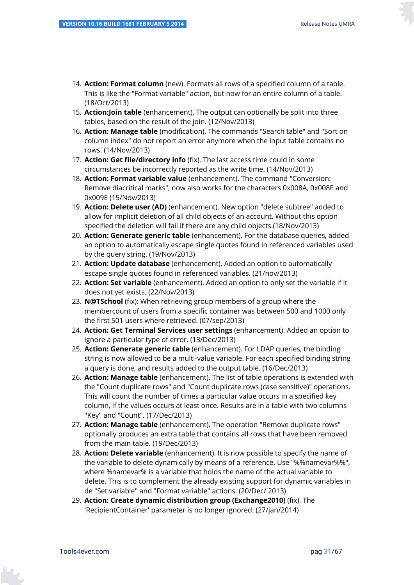- 14. **Action: Format column** (new). Formats all rows of a specified column of a table. This is like the "Format variable" action, but now for an entire column of a table. (18/Oct/2013)
- 15. **Action:Join table** (enhancement). The output can optionally be split into three tables, based on the result of the join. (12/Nov/2013)
- 16. **Action: Manage table** (modification). The commands "Search table" and "Sort on column index" do not report an error anymore when the input table contains no rows. (14/Nov/2013)
- 17. **Action: Get file/directory info** (fix). The last access time could in some circumstances be incorrectly reported as the write time. (14/Nov/2013)
- 18. **Action: Format variable value** (enhancement). The command "Conversion: Remove diacritical marks", now also works for the characters 0x008A, 0x008E and 0x009E (15/Nov/2013)
- 19. **Action: Delete user (AD)** (enhancement). New option "delete subtree" added to allow for implicit deletion of all child objects of an account. Without this option specified the deletion will fail if there are any child objects.(18/Nov/2013)
- 20. **Action: Generate generic table** (enhancement). For the database queries, added an option to automatically escape single quotes found in referenced variables used by the query string. (19/Nov/2013)
- 21. **Action: Update database** (enhancement). Added an option to automatically escape single quotes found in referenced variables. (21/nov/2013)
- 22. **Action: Set variable** (enhancement). Added an option to only set the variable if it does not yet exists. (22/Nov/2013)
- 23. **N@TSchool** (fix): When retrieving group members of a group where the membercount of users from a specific container was between 500 and 1000 only the first 501 users where retrieved. (07/sep/2013)
- 24. **Action: Get Terminal Services user settings** (enhancement). Added an option to ignore a particular type of error. (13/Dec/2013)
- 25. **Action: Generate generic table** (enhancement). For LDAP queries, the binding string is now allowed to be a multi-value variable. For each specified binding string a query is done, and results added to the output table. (16/Dec/2013)
- 26. **Action: Manage table** (enhancement). The list of table operations is extended with the "Count duplicate rows" and "Count duplicate rows (case sensitive)" operations. This will count the number of times a particular value occurs in a specified key column, if the values occurs at least once. Results are in a table with two columns "Key" and "Count". (17/Dec/2013)
- 27. **Action: Manage table** (enhancement). The operation "Remove duplicate rows" optionally produces an extra table that contains all rows that have been removed from the main table. (19/Dec/2013)
- 28. **Action: Delete variable** (enhancement). It is now possible to specify the name of the variable to delete dynamically by means of a reference. Use "%%namevar%%", where %namevar% is a variable that holds the name of the actual variable to delete. This is to complement the already existing support for dynamic variables in de "Set variable" and "Format variable" actions. (20/Dec/ 2013)
- 29. **Action: Create dynamic distribution group (Exchange2010)** (fix). The 'RecipientContainer' parameter is no longer ignored. (27/jan/2014)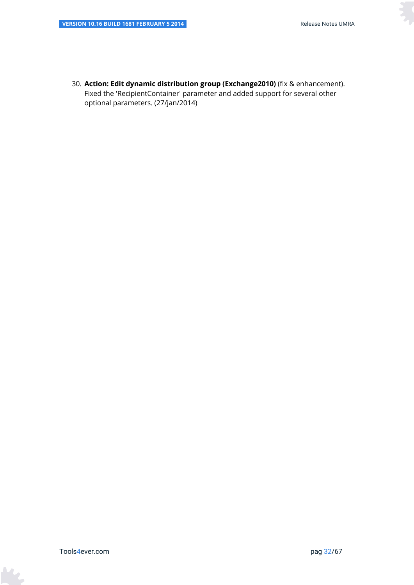$\frac{1}{2}$ 

30. **Action: Edit dynamic distribution group (Exchange2010)** (fix & enhancement). Fixed the 'RecipientContainer' parameter and added support for several other optional parameters. (27/jan/2014)

 $\mathbf{H}_2$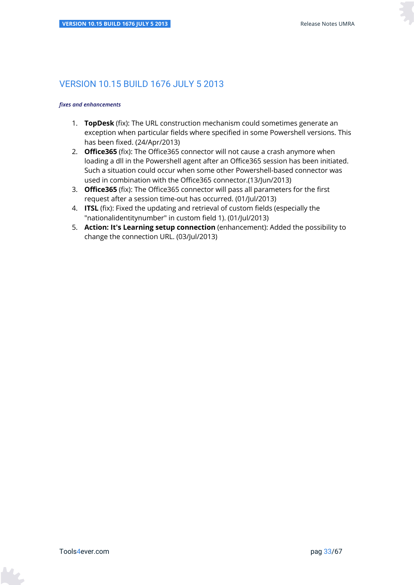### VERSION 10.15 BUILD 1676 JULY 5 2013

- 1. **TopDesk** (fix): The URL construction mechanism could sometimes generate an exception when particular fields where specified in some Powershell versions. This has been fixed. (24/Apr/2013)
- 2. **Office365** (fix): The Office365 connector will not cause a crash anymore when loading a dll in the Powershell agent after an Office365 session has been initiated. Such a situation could occur when some other Powershell-based connector was used in combination with the Office365 connector.(13/Jun/2013)
- 3. **Office365** (fix): The Office365 connector will pass all parameters for the first request after a session time-out has occurred. (01/Jul/2013)
- 4. **ITSL** (fix): Fixed the updating and retrieval of custom fields (especially the "nationalidentitynumber" in custom field 1). (01/Jul/2013)
- 5. **Action: It's Learning setup connection** (enhancement): Added the possibility to change the connection URL. (03/Jul/2013)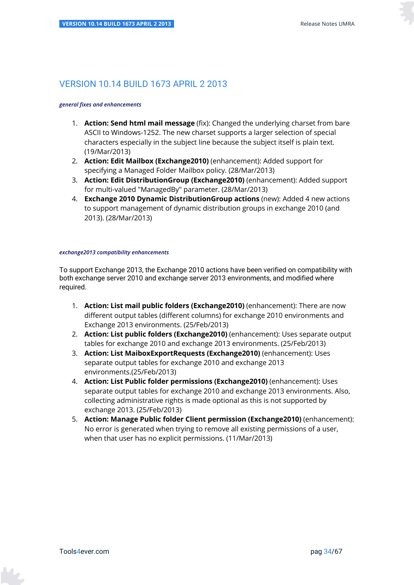### VERSION 10.14 BUILD 1673 APRIL 2 2013

#### *general fixes and enhancements*

- 1. **Action: Send html mail message** (fix): Changed the underlying charset from bare ASCII to Windows-1252. The new charset supports a larger selection of special characters especially in the subject line because the subject itself is plain text. (19/Mar/2013)
- 2. **Action: Edit Mailbox (Exchange2010)** (enhancement): Added support for specifying a Managed Folder Mailbox policy. (28/Mar/2013)
- 3. **Action: Edit DistributionGroup (Exchange2010)** (enhancement): Added support for multi-valued "ManagedBy" parameter. (28/Mar/2013)
- 4. **Exchange 2010 Dynamic DistributionGroup actions** (new): Added 4 new actions to support management of dynamic distribution groups in exchange 2010 (and 2013). (28/Mar/2013)

#### *exchange2013 compatibility enhancements*

To support Exchange 2013, the Exchange 2010 actions have been verified on compatibility with both exchange server 2010 and exchange server 2013 environments, and modified where required.

- 1. **Action: List mail public folders (Exchange2010)** (enhancement): There are now different output tables (different columns) for exchange 2010 environments and Exchange 2013 environments. (25/Feb/2013)
- 2. **Action: List public folders (Exchange2010)** (enhancement): Uses separate output tables for exchange 2010 and exchange 2013 environments. (25/Feb/2013)
- 3. **Action: List MaiboxExportRequests (Exchange2010)** (enhancement): Uses separate output tables for exchange 2010 and exchange 2013 environments.(25/Feb/2013)
- 4. **Action: List Public folder permissions (Exchange2010)** (enhancement): Uses separate output tables for exchange 2010 and exchange 2013 environments. Also, collecting administrative rights is made optional as this is not supported by exchange 2013. (25/Feb/2013)
- 5. **Action: Manage Public folder Client permission (Exchange2010)** (enhancement): No error is generated when trying to remove all existing permissions of a user, when that user has no explicit permissions. (11/Mar/2013)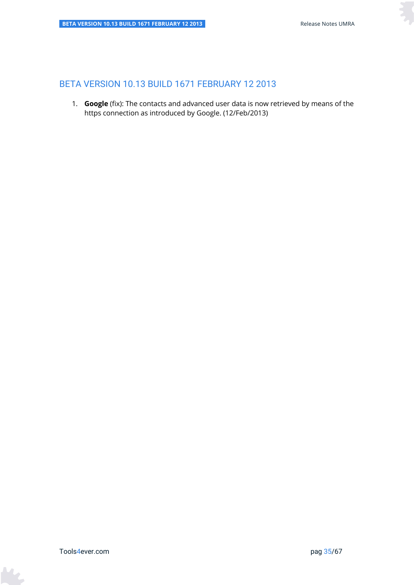### BETA VERSION 10.13 BUILD 1671 FEBRUARY 12 2013

1. **Google** (fix): The contacts and advanced user data is now retrieved by means of the https connection as introduced by Google. (12/Feb/2013)

 $\mathbf{H}_2$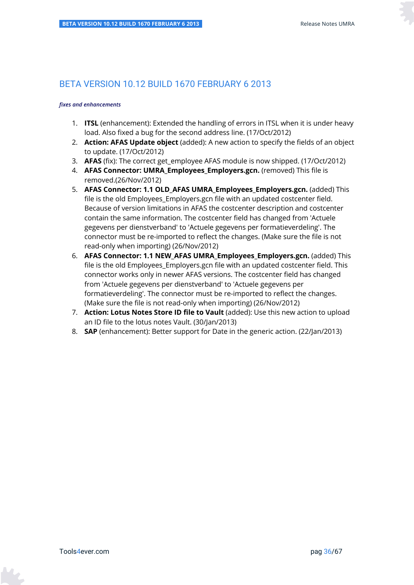### BETA VERSION 10.12 BUILD 1670 FEBRUARY 6 2013

- 1. **ITSL** (enhancement): Extended the handling of errors in ITSL when it is under heavy load. Also fixed a bug for the second address line. (17/Oct/2012)
- 2. **Action: AFAS Update object** (added): A new action to specify the fields of an object to update. (17/Oct/2012)
- 3. **AFAS** (fix): The correct get\_employee AFAS module is now shipped. (17/Oct/2012)
- 4. **AFAS Connector: UMRA\_Employees\_Employers.gcn.** (removed) This file is removed.(26/Nov/2012)
- 5. **AFAS Connector: 1.1 OLD\_AFAS UMRA\_Employees\_Employers.gcn.** (added) This file is the old Employees\_Employers.gcn file with an updated costcenter field. Because of version limitations in AFAS the costcenter description and costcenter contain the same information. The costcenter field has changed from 'Actuele gegevens per dienstverband' to 'Actuele gegevens per formatieverdeling'. The connector must be re-imported to reflect the changes. (Make sure the file is not read-only when importing) (26/Nov/2012)
- 6. **AFAS Connector: 1.1 NEW\_AFAS UMRA\_Employees\_Employers.gcn.** (added) This file is the old Employees\_Employers.gcn file with an updated costcenter field. This connector works only in newer AFAS versions. The costcenter field has changed from 'Actuele gegevens per dienstverband' to 'Actuele gegevens per formatieverdeling'. The connector must be re-imported to reflect the changes. (Make sure the file is not read-only when importing) (26/Nov/2012)
- 7. **Action: Lotus Notes Store ID file to Vault** (added): Use this new action to upload an ID file to the lotus notes Vault. (30/Jan/2013)
- 8. **SAP** (enhancement): Better support for Date in the generic action. (22/Jan/2013)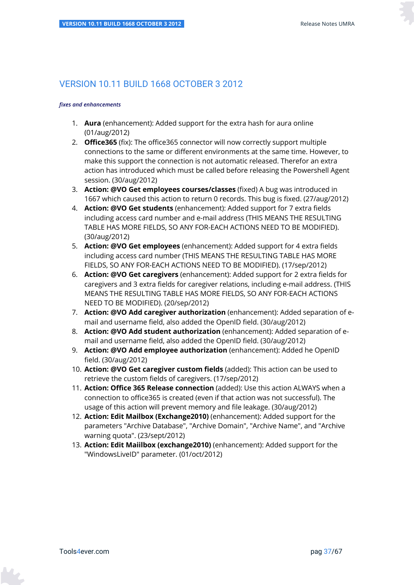### VERSION 10.11 BUILD 1668 OCTOBER 3 2012

- 1. **Aura** (enhancement): Added support for the extra hash for aura online (01/aug/2012)
- 2. **Office365** (fix): The office365 connector will now correctly support multiple connections to the same or different environments at the same time. However, to make this support the connection is not automatic released. Therefor an extra action has introduced which must be called before releasing the Powershell Agent session. (30/aug/2012)
- 3. **Action: @VO Get employees courses/classes** (fixed) A bug was introduced in 1667 which caused this action to return 0 records. This bug is fixed. (27/aug/2012)
- 4. **Action: @VO Get students** (enhancement): Added support for 7 extra fields including access card number and e-mail address (THIS MEANS THE RESULTING TABLE HAS MORE FIELDS, SO ANY FOR-EACH ACTIONS NEED TO BE MODIFIED). (30/aug/2012)
- 5. **Action: @VO Get employees** (enhancement): Added support for 4 extra fields including access card number (THIS MEANS THE RESULTING TABLE HAS MORE FIELDS, SO ANY FOR-EACH ACTIONS NEED TO BE MODIFIED). (17/sep/2012)
- 6. **Action: @VO Get caregivers** (enhancement): Added support for 2 extra fields for caregivers and 3 extra fields for caregiver relations, including e-mail address. (THIS MEANS THE RESULTING TABLE HAS MORE FIELDS, SO ANY FOR-EACH ACTIONS NEED TO BE MODIFIED). (20/sep/2012)
- 7. **Action: @VO Add caregiver authorization** (enhancement): Added separation of email and username field, also added the OpenID field. (30/aug/2012)
- 8. **Action: @VO Add student authorization** (enhancement): Added separation of email and username field, also added the OpenID field. (30/aug/2012)
- 9. **Action: @VO Add employee authorization** (enhancement): Added he OpenID field. (30/aug/2012)
- 10. **Action: @VO Get caregiver custom fields** (added): This action can be used to retrieve the custom fields of caregivers. (17/sep/2012)
- 11. **Action: Office 365 Release connection** (added): Use this action ALWAYS when a connection to office365 is created (even if that action was not successful). The usage of this action will prevent memory and file leakage. (30/aug/2012)
- 12. **Action: Edit Mailbox (Exchange2010)** (enhancement): Added support for the parameters "Archive Database", "Archive Domain", "Archive Name", and "Archive warning quota". (23/sept/2012)
- 13. **Action: Edit Maiilbox (exchange2010)** (enhancement): Added support for the "WindowsLiveID" parameter. (01/oct/2012)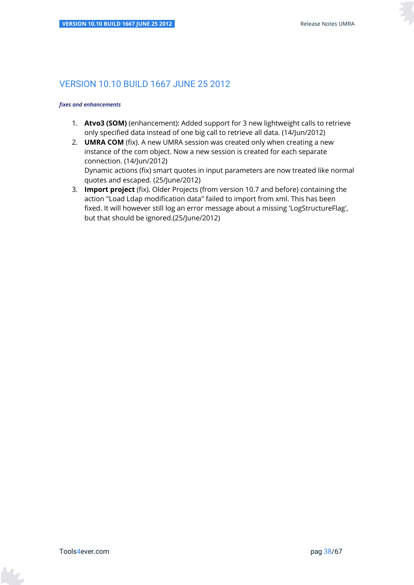### VERSION 10.10 BUILD 1667 JUNE 25 2012

- 1. **Atvo3 (SOM)** (enhancement): Added support for 3 new lightweight calls to retrieve only specified data instead of one big call to retrieve all data. (14/Jun/2012)
- 2. **UMRA COM** (fix). A new UMRA session was created only when creating a new instance of the com object. Now a new session is created for each separate connection. (14/Jun/2012) Dynamic actions (fix) smart quotes in input parameters are now treated like normal quotes and escaped. (25/June/2012)
- 3. **Import project** (fix). Older Projects (from version 10.7 and before) containing the action "Load Ldap modification data" failed to import from xml. This has been fixed. It will however still log an error message about a missing 'LogStructureFlag', but that should be ignored.(25/June/2012)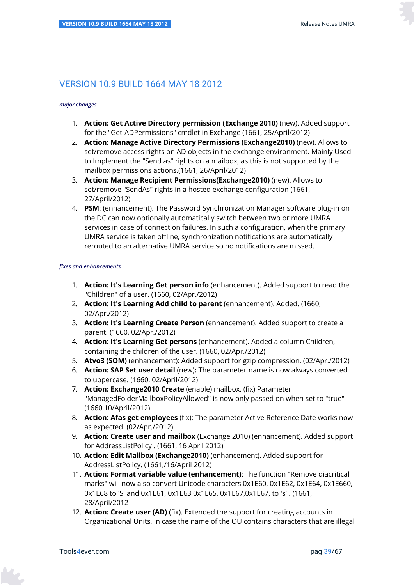### VERSION 10.9 BUILD 1664 MAY 18 2012

#### *major changes*

- 1. **Action: Get Active Directory permission (Exchange 2010)** (new). Added support for the "Get-ADPermissions" cmdlet in Exchange (1661, 25/April/2012)
- 2. **Action: Manage Active Directory Permissions (Exchange2010)** (new). Allows to set/remove access rights on AD objects in the exchange environment. Mainly Used to Implement the "Send as" rights on a mailbox, as this is not supported by the mailbox permissions actions.(1661, 26/April/2012)
- 3. **Action: Manage Recipient Permissions(Exchange2010)** (new). Allows to set/remove "SendAs" rights in a hosted exchange configuration (1661, 27/April/2012)
- 4. **PSM**: (enhancement). The Password Synchronization Manager software plug-in on the DC can now optionally automatically switch between two or more UMRA services in case of connection failures. In such a configuration, when the primary UMRA service is taken offline, synchronization notifications are automatically rerouted to an alternative UMRA service so no notifications are missed.

- 1. **Action: It's Learning Get person info** (enhancement). Added support to read the "Children" of a user. (1660, 02/Apr./2012)
- 2. **Action: It's Learning Add child to parent** (enhancement). Added. (1660, 02/Apr./2012)
- 3. **Action: It's Learning Create Person** (enhancement). Added support to create a parent. (1660, 02/Apr./2012)
- 4. **Action: It's Learning Get persons** (enhancement). Added a column Children, containing the children of the user. (1660, 02/Apr./2012)
- 5. **Atvo3 (SOM)** (enhancement): Added support for gzip compression. (02/Apr./2012)
- 6. **Action: SAP Set user detail** (new)**:** The parameter name is now always converted to uppercase. (1660, 02/April/2012)
- 7. **Action: Exchange2010 Create** (enable) mailbox. (fix) Parameter "ManagedFolderMailboxPolicyAllowed" is now only passed on when set to "true" (1660,10/April/2012)
- 8. **Action: Afas get employees** (fix): The parameter Active Reference Date works now as expected. (02/Apr./2012)
- 9. **Action: Create user and mailbox** (Exchange 2010) (enhancement). Added support for AddressListPolicy . (1661, 16 April 2012)
- 10. **Action: Edit Mailbox (Exchange2010)** (enhancement). Added support for AddressListPolicy. (1661,/16/April 2012)
- 11. **Action: Format variable value (enhancement)**: The function "Remove diacritical marks" will now also convert Unicode characters 0x1E60, 0x1E62, 0x1E64, 0x1E660, 0x1E68 to 'S' and 0x1E61, 0x1E63 0x1E65, 0x1E67,0x1E67, to 's' . (1661, 28/April/2012
- 12. **Action: Create user (AD)** (fix). Extended the support for creating accounts in Organizational Units, in case the name of the OU contains characters that are illegal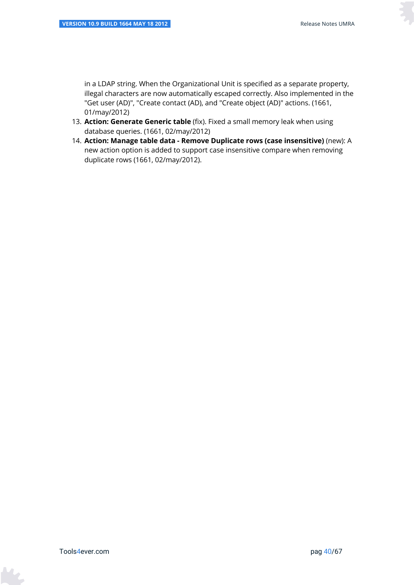in a LDAP string. When the Organizational Unit is specified as a separate property, illegal characters are now automatically escaped correctly. Also implemented in the "Get user (AD)", "Create contact (AD), and "Create object (AD)" actions. (1661, 01/may/2012)

- 13. **Action: Generate Generic table** (fix). Fixed a small memory leak when using database queries. (1661, 02/may/2012)
- 14. **Action: Manage table data - Remove Duplicate rows (case insensitive)** (new): A new action option is added to support case insensitive compare when removing duplicate rows (1661, 02/may/2012).

 $\overline{M}_2$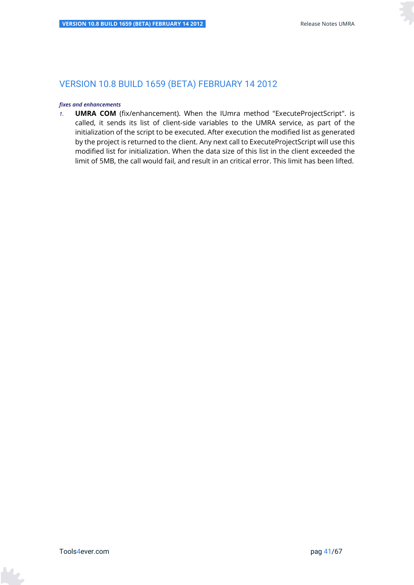### VERSION 10.8 BUILD 1659 (BETA) FEBRUARY 14 2012

### *fixes and enhancements*

*1.* **UMRA COM** (fix/enhancement). When the IUmra method "ExecuteProjectScript". is called, it sends its list of client-side variables to the UMRA service, as part of the initialization of the script to be executed. After execution the modified list as generated by the project is returned to the client. Any next call to ExecuteProjectScript will use this modified list for initialization. When the data size of this list in the client exceeded the limit of 5MB, the call would fail, and result in an critical error. This limit has been lifted.



 $\overline{M}_2$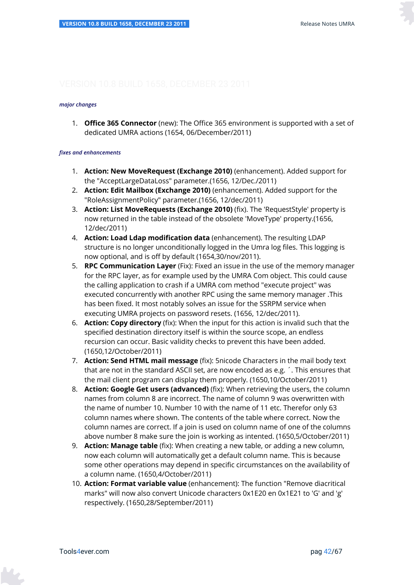#### *major changes*

1. **Office 365 Connector** (new): The Office 365 environment is supported with a set of dedicated UMRA actions (1654, 06/December/2011)

- 1. **Action: New MoveRequest (Exchange 2010)** (enhancement). Added support for the "AcceptLargeDataLoss" parameter.(1656, 12/Dec./2011)
- 2. **Action: Edit Mailbox (Exchange 2010)** (enhancement). Added support for the "RoleAssignmentPolicy" parameter.(1656, 12/dec/2011)
- 3. **Action: List MoveRequests (Exchange 2010)** (fix). The 'RequestStyle' property is now returned in the table instead of the obsolete 'MoveType' property.(1656, 12/dec/2011)
- 4. **Action: Load Ldap modification data** (enhancement). The resulting LDAP structure is no longer unconditionally logged in the Umra log files. This logging is now optional, and is off by default (1654,30/nov/2011).
- 5. **RPC Communication Layer** (Fix): Fixed an issue in the use of the memory manager for the RPC layer, as for example used by the UMRA Com object. This could cause the calling application to crash if a UMRA com method "execute project" was executed concurrently with another RPC using the same memory manager .This has been fixed. It most notably solves an issue for the SSRPM service when executing UMRA projects on password resets. (1656, 12/dec/2011).
- 6. **Action: Copy directory** (fix): When the input for this action is invalid such that the specified destination directory itself is within the source scope, an endless recursion can occur. Basic validity checks to prevent this have been added. (1650,12/October/2011)
- 7. **Action: Send HTML mail message** (fix): 5nicode Characters in the mail body text that are not in the standard ASCII set, are now encoded as e.g. ´. This ensures that the mail client program can display them properly. (1650,10/October/2011)
- 8. **Action: Google Get users (advanced)** (fix): When retrieving the users, the column names from column 8 are incorrect. The name of column 9 was overwritten with the name of number 10. Number 10 with the name of 11 etc. Therefor only 63 column names where shown. The contents of the table where correct. Now the column names are correct. If a join is used on column name of one of the columns above number 8 make sure the join is working as intented. (1650,5/October/2011)
- 9. **Action: Manage table** (fix): When creating a new table, or adding a new column, now each column will automatically get a default column name. This is because some other operations may depend in specific circumstances on the availability of a column name. (1650,4/October/2011)
- 10. **Action: Format variable value** (enhancement): The function "Remove diacritical marks" will now also convert Unicode characters 0x1E20 en 0x1E21 to 'G' and 'g' respectively. (1650,28/September/2011)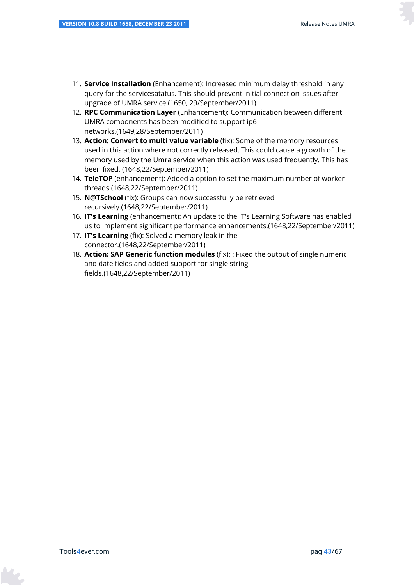- 11. **Service Installation** (Enhancement): Increased minimum delay threshold in any query for the servicesatatus. This should prevent initial connection issues after upgrade of UMRA service (1650, 29/September/2011)
- 12. **RPC Communication Layer** (Enhancement): Communication between different UMRA components has been modified to support ip6 networks.(1649,28/September/2011)
- 13. **Action: Convert to multi value variable** (fix): Some of the memory resources used in this action where not correctly released. This could cause a growth of the memory used by the Umra service when this action was used frequently. This has been fixed. (1648,22/September/2011)
- 14. **TeleTOP** (enhancement): Added a option to set the maximum number of worker threads.(1648,22/September/2011)
- 15. **N@TSchool** (fix): Groups can now successfully be retrieved recursively.(1648,22/September/2011)
- 16. **IT's Learning** (enhancement): An update to the IT's Learning Software has enabled us to implement significant performance enhancements.(1648,22/September/2011)
- 17. **IT's Learning** (fix): Solved a memory leak in the connector.(1648,22/September/2011)
- 18. **Action: SAP Generic function modules** (fix): : Fixed the output of single numeric and date fields and added support for single string fields.(1648,22/September/2011)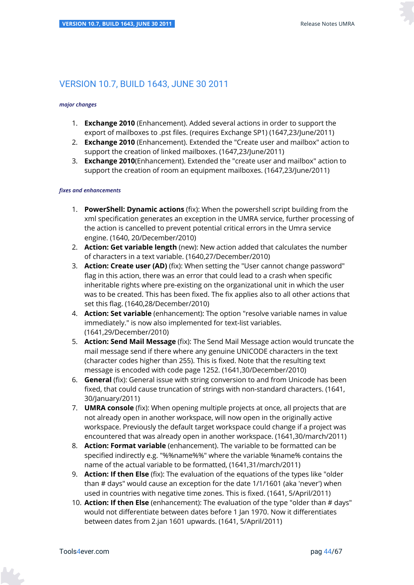### VERSION 10.7, BUILD 1643, JUNE 30 2011

#### *major changes*

- 1. **Exchange 2010** (Enhancement). Added several actions in order to support the export of mailboxes to .pst files. (requires Exchange SP1) (1647,23/June/2011)
- 2. **Exchange 2010** (Enhancement). Extended the "Create user and mailbox" action to support the creation of linked mailboxes. (1647,23/June/2011)
- 3. **Exchange 2010**(Enhancement). Extended the "create user and mailbox" action to support the creation of room an equipment mailboxes. (1647,23/June/2011)

- 1. **PowerShell: Dynamic actions** (fix): When the powershell script building from the xml specification generates an exception in the UMRA service, further processing of the action is cancelled to prevent potential critical errors in the Umra service engine. (1640, 20/December/2010)
- 2. **Action: Get variable length** (new): New action added that calculates the number of characters in a text variable. (1640,27/December/2010)
- 3. **Action: Create user (AD)** (fix): When setting the "User cannot change password" flag in this action, there was an error that could lead to a crash when specific inheritable rights where pre-existing on the organizational unit in which the user was to be created. This has been fixed. The fix applies also to all other actions that set this flag. (1640,28/December/2010)
- 4. **Action: Set variable** (enhancement): The option "resolve variable names in value immediately." is now also implemented for text-list variables. (1641,29/December/2010)
- 5. **Action: Send Mail Message** (fix): The Send Mail Message action would truncate the mail message send if there where any genuine UNICODE characters in the text (character codes higher than 255). This is fixed. Note that the resulting text message is encoded with code page 1252. (1641,30/December/2010)
- 6. **General** (fix): General issue with string conversion to and from Unicode has been fixed, that could cause truncation of strings with non-standard characters. (1641, 30/January/2011)
- 7. **UMRA console** (fix): When opening multiple projects at once, all projects that are not already open in another workspace, will now open in the originally active workspace. Previously the default target workspace could change if a project was encountered that was already open in another workspace. (1641,30/march/2011)
- 8. **Action: Format variable** (enhancement). The variable to be formatted can be specified indirectly e.g. "%%name%%" where the variable %name% contains the name of the actual variable to be formatted, (1641,31/march/2011)
- 9. **Action: If then Else** (fix): The evaluation of the equations of the types like "older than # days" would cause an exception for the date 1/1/1601 (aka 'never') when used in countries with negative time zones. This is fixed. (1641, 5/April/2011)
- 10. **Action: If then Else** (enhancement): The evaluation of the type "older than # days" would not differentiate between dates before 1 Jan 1970. Now it differentiates between dates from 2.jan 1601 upwards. (1641, 5/April/2011)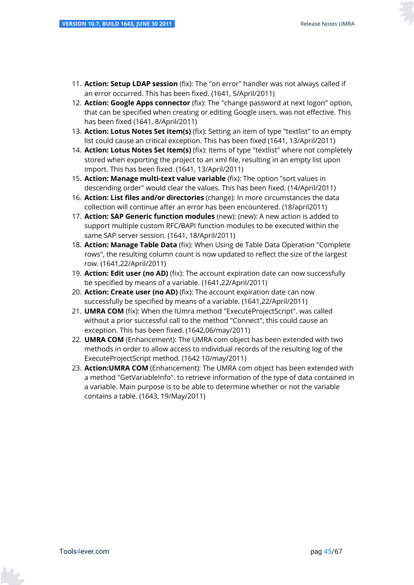- 11. **Action: Setup LDAP session** (fix): The "on error" handler was not always called if an error occurred. This has been fixed. (1641, 5/April/2011)
- 12. **Action: Google Apps connector** (fix): The "change password at next logon" option, that can be specified when creating or editing Google users, was not effective. This has been fixed (1641, 8/April/2011)
- 13. **Action: Lotus Notes Set item(s)** (fix): Setting an item of type "textlist" to an empty list could cause an critical exception. This has been fixed (1641, 13/April/2011)
- 14. **Action: Lotus Notes Set Item(s)** (fix): Items of type "textlist" where not completely stored when exporting the project to an xml file, resulting in an empty list upon import. This has been fixed. (1641, 13/April/2011)
- 15. **Action: Manage multi-text value variable** (fix): The option "sort values in descending order" would clear the values. This has been fixed. (14/April/2011)
- 16. **Action: List files and/or directories** (change): In more circumstances the data collection will continue after an error has been encountered. (18/april2011)
- 17. **Action: SAP Generic function modules** (new): (new): A new action is added to support multiple custom RFC/BAPI function modules to be executed within the same SAP server session. (1641, 18/April/2011)
- 18. **Action: Manage Table Data** (fix): When Using de Table Data Operation "Complete rows", the resulting column count is now updated to reflect the size of the largest row. (1641,22/April/2011)
- 19. **Action: Edit user (no AD)** (fix): The account expiration date can now successfully be specified by means of a variable. (1641,22/April/2011)
- 20. **Action: Create user (no AD)** (fix): The account expiration date can now successfully be specified by means of a variable. (1641,22/April/2011)
- 21. **UMRA COM** (fix): When the IUmra method "ExecuteProjectScript". was called without a prior successful call to the method "Connect", this could cause an exception. This has been fixed. (1642,06/may/2011)
- 22. **UMRA COM** (Enhancement): The UMRA com object has been extended with two methods in order to allow access to individual records of the resulting log of the ExecuteProjectScript method. (1642 10/may/2011)
- 23. **Action:UMRA COM** (Enhancement): The UMRA com object has been extended with a method "GetVariableInfo". to retrieve information of the type of data contained in a variable. Main purpose is to be able to determine whether or not the variable contains a table. (1643, 19/May/2011)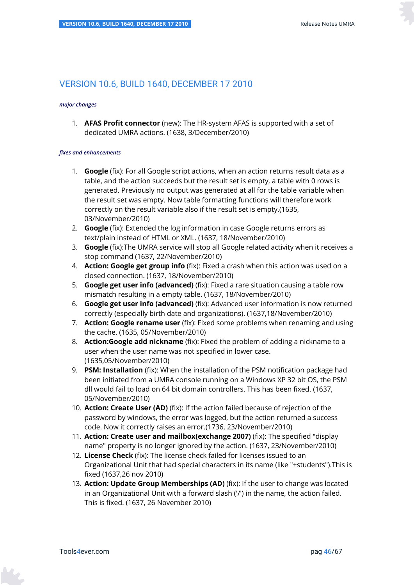### VERSION 10.6, BUILD 1640, DECEMBER 17 2010

### *major changes*

1. **AFAS Profit connector** (new): The HR-system AFAS is supported with a set of dedicated UMRA actions. (1638, 3/December/2010)

- 1. **Google** (fix): For all Google script actions, when an action returns result data as a table, and the action succeeds but the result set is empty, a table with 0 rows is generated. Previously no output was generated at all for the table variable when the result set was empty. Now table formatting functions will therefore work correctly on the result variable also if the result set is empty.(1635, 03/November/2010)
- 2. **Google** (fix): Extended the log information in case Google returns errors as text/plain instead of HTML or XML. (1637, 18/November/2010)
- 3. **Google** (fix):The UMRA service will stop all Google related activity when it receives a stop command (1637, 22/November/2010)
- 4. **Action: Google get group info** (fix): Fixed a crash when this action was used on a closed connection. (1637, 18/November/2010)
- 5. **Google get user info (advanced)** (fix): Fixed a rare situation causing a table row mismatch resulting in a empty table. (1637, 18/November/2010)
- 6. **Google get user info (advanced)** (fix): Advanced user information is now returned correctly (especially birth date and organizations). (1637,18/November/2010)
- 7. **Action: Google rename user** (fix): Fixed some problems when renaming and using the cache. (1635, 05/November/2010)
- 8. **Action:Google add nickname** (fix): Fixed the problem of adding a nickname to a user when the user name was not specified in lower case. (1635,05/November/2010)
- 9. **PSM: Installation** (fix): When the installation of the PSM notification package had been initiated from a UMRA console running on a Windows XP 32 bit OS, the PSM dll would fail to load on 64 bit domain controllers. This has been fixed. (1637, 05/November/2010)
- 10. **Action: Create User (AD)** (fix): If the action failed because of rejection of the password by windows, the error was logged, but the action returned a success code. Now it correctly raises an error.(1736, 23/November/2010)
- 11. **Action: Create user and mailbox(exchange 2007)** (fix): The specified "display name" property is no longer ignored by the action. (1637, 23/November/2010)
- 12. **License Check** (fix): The license check failed for licenses issued to an Organizational Unit that had special characters in its name (like "+students").This is fixed (1637,26 nov 2010)
- 13. **Action: Update Group Memberships (AD)** (fix): If the user to change was located in an Organizational Unit with a forward slash ('/') in the name, the action failed. This is fixed. (1637, 26 November 2010)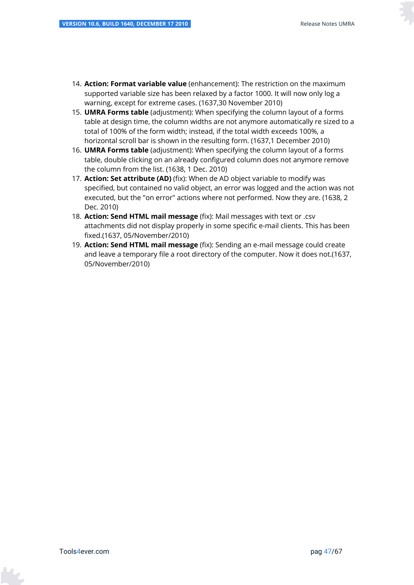- 14. **Action: Format variable value** (enhancement): The restriction on the maximum supported variable size has been relaxed by a factor 1000. It will now only log a warning, except for extreme cases. (1637,30 November 2010)
- 15. **UMRA Forms table** (adjustment): When specifying the column layout of a forms table at design time, the column widths are not anymore automatically re sized to a total of 100% of the form width; instead, if the total width exceeds 100%, a horizontal scroll bar is shown in the resulting form. (1637,1 December 2010)
- 16. **UMRA Forms table** (adjustment): When specifying the column layout of a forms table, double clicking on an already configured column does not anymore remove the column from the list. (1638, 1 Dec. 2010)
- 17. **Action: Set attribute (AD)** (fix): When de AD object variable to modify was specified, but contained no valid object, an error was logged and the action was not executed, but the "on error" actions where not performed. Now they are. (1638, 2 Dec. 2010)
- 18. **Action: Send HTML mail message** (fix): Mail messages with text or .csv attachments did not display properly in some specific e-mail clients. This has been fixed.(1637, 05/November/2010)
- 19. **Action: Send HTML mail message** (fix): Sending an e-mail message could create and leave a temporary file a root directory of the computer. Now it does not.(1637, 05/November/2010)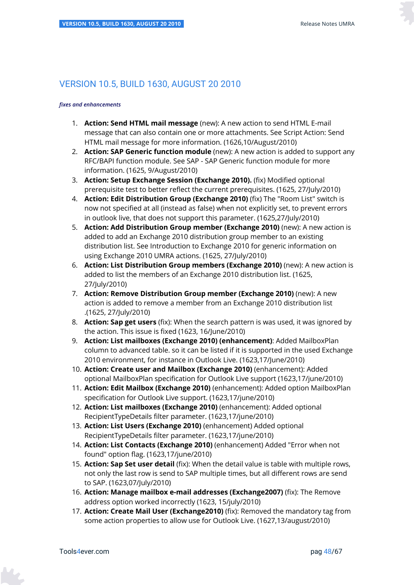### VERSION 10.5, BUILD 1630, AUGUST 20 2010

- 1. **Action: Send HTML mail message** (new): A new action to send HTML E-mail message that can also contain one or more attachments. See Script Action: Send HTML mail message for more information. (1626,10/August/2010)
- 2. **Action: SAP Generic function module** (new): A new action is added to support any RFC/BAPI function module. See SAP - SAP Generic function module for more information. (1625, 9/August/2010)
- 3. **Action: Setup Exchange Session (Exchange 2010).** (fix) Modified optional prerequisite test to better reflect the current prerequisites. (1625, 27/July/2010)
- 4. **Action: Edit Distribution Group (Exchange 2010)** (fix) The "Room List" switch is now not specified at all (instead as false) when not explicitly set, to prevent errors in outlook live, that does not support this parameter. (1625,27/July/2010)
- 5. **Action: Add Distribution Group member (Exchange 2010)** (new): A new action is added to add an Exchange 2010 distribution group member to an existing distribution list. See Introduction to Exchange 2010 for generic information on using Exchange 2010 UMRA actions. (1625, 27/July/2010)
- 6. **Action: List Distribution Group members (Exchange 2010)** (new): A new action is added to list the members of an Exchange 2010 distribution list. (1625, 27/July/2010)
- 7. **Action: Remove Distribution Group member (Exchange 2010)** (new): A new action is added to remove a member from an Exchange 2010 distribution list .(1625, 27/July/2010)
- 8. **Action: Sap get users** (fix): When the search pattern is was used, it was ignored by the action. This issue is fixed (1623, 16/June/2010)
- 9. **Action: List mailboxes (Exchange 2010) (enhancement)**: Added MailboxPlan column to advanced table. so it can be listed if it is supported in the used Exchange 2010 environment, for instance in Outlook Live. (1623,17/June/2010)
- 10. **Action: Create user and Mailbox (Exchange 2010)** (enhancement): Added optional MailboxPlan specification for Outlook Live support (1623,17/june/2010)
- 11. **Action: Edit Mailbox (Exchange 2010)** (enhancement): Added option MailboxPlan specification for Outlook Live support. (1623,17/june/2010)
- 12. **Action: List mailboxes (Exchange 2010)** (enhancement): Added optional RecipientTypeDetails filter parameter. (1623,17/june/2010)
- 13. **Action: List Users (Exchange 2010)** (enhancement) Added optional RecipientTypeDetails filter parameter. (1623,17/june/2010)
- 14. **Action: List Contacts (Exchange 2010)** (enhancement) Added "Error when not found" option flag. (1623,17/june/2010)
- 15. **Action: Sap Set user detail** (fix): When the detail value is table with multiple rows, not only the last row is send to SAP multiple times, but all different rows are send to SAP. (1623,07/July/2010)
- 16. **Action: Manage mailbox e-mail addresses (Exchange2007)** (fix): The Remove address option worked incorrectly (1623, 15/july/2010)
- 17. **Action: Create Mail User (Exchange2010)** (fix): Removed the mandatory tag from some action properties to allow use for Outlook Live. (1627,13/august/2010)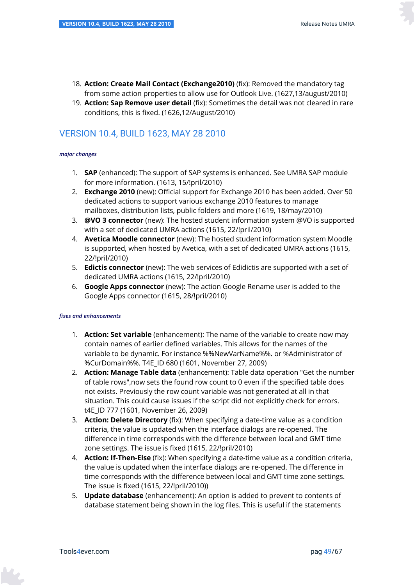- 18. **Action: Create Mail Contact (Exchange2010)** (fix): Removed the mandatory tag from some action properties to allow use for Outlook Live. (1627,13/august/2010)
- 19. **Action: Sap Remove user detail** (fix): Sometimes the detail was not cleared in rare conditions, this is fixed. (1626,12/August/2010)

### VERSION 10.4, BUILD 1623, MAY 28 2010

#### *major changes*

- 1. **SAP** (enhanced): The support of SAP systems is enhanced. See UMRA SAP module for more information. (1613, 15/!pril/2010)
- 2. **Exchange 2010** (new): Official support for Exchange 2010 has been added. Over 50 dedicated actions to support various exchange 2010 features to manage mailboxes, distribution lists, public folders and more (1619, 18/may/2010)
- 3. **@VO 3 connector** (new): The hosted student information system @VO is supported with a set of dedicated UMRA actions (1615, 22/!pril/2010)
- 4. **Avetica Moodle connector** (new): The hosted student information system Moodle is supported, when hosted by Avetica, with a set of dedicated UMRA actions (1615, 22/!pril/2010)
- 5. **Edictis connector** (new): The web services of Edidictis are supported with a set of dedicated UMRA actions (1615, 22/!pril/2010)
- 6. **Google Apps connector** (new): The action Google Rename user is added to the Google Apps connector (1615, 28/!pril/2010)

- 1. **Action: Set variable** (enhancement): The name of the variable to create now may contain names of earlier defined variables. This allows for the names of the variable to be dynamic. For instance %%NewVarName%%. or %Administrator of %CurDomain%%. T4E\_ID 680 (1601, November 27, 2009)
- 2. **Action: Manage Table data** (enhancement): Table data operation "Get the number of table rows",now sets the found row count to 0 even if the specified table does not exists. Previously the row count variable was not generated at all in that situation. This could cause issues if the script did not explicitly check for errors. t4E\_ID 777 (1601, November 26, 2009)
- 3. **Action: Delete Directory** (fix): When specifying a date-time value as a condition criteria, the value is updated when the interface dialogs are re-opened. The difference in time corresponds with the difference between local and GMT time zone settings. The issue is fixed (1615, 22/!pril/2010)
- 4. **Action: If-Then-Else** (fix): When specifying a date-time value as a condition criteria, the value is updated when the interface dialogs are re-opened. The difference in time corresponds with the difference between local and GMT time zone settings. The issue is fixed (1615, 22/!pril/2010))
- 5. **Update database** (enhancement): An option is added to prevent to contents of database statement being shown in the log files. This is useful if the statements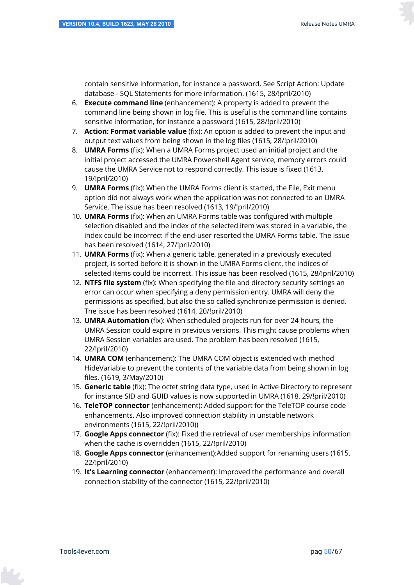contain sensitive information, for instance a password. See Script Action: Update database - SQL Statements for more information. (1615, 28/!pril/2010)

- 6. **Execute command line** (enhancement): A property is added to prevent the command line being shown in log file. This is useful is the command line contains sensitive information, for instance a password (1615, 28/!pril/2010)
- 7. **Action: Format variable value** (fix): An option is added to prevent the input and output text values from being shown in the log files (1615, 28/!pril/2010)
- 8. **UMRA Forms** (fix): When a UMRA Forms project used an initial project and the initial project accessed the UMRA Powershell Agent service, memory errors could cause the UMRA Service not to respond correctly. This issue is fixed (1613, 19/!pril/2010)
- 9. **UMRA Forms** (fix): When the UMRA Forms client is started, the File, Exit menu option did not always work when the application was not connected to an UMRA Service. The issue has been resolved (1613, 19/!pril/2010)
- 10. **UMRA Forms** (fix): When an UMRA Forms table was configured with multiple selection disabled and the index of the selected item was stored in a variable, the index could be incorrect if the end-user resorted the UMRA Forms table. The issue has been resolved (1614, 27/!pril/2010)
- 11. **UMRA Forms** (fix): When a generic table, generated in a previously executed project, is sorted before it is shown in the UMRA Forms client, the indices of selected items could be incorrect. This issue has been resolved (1615, 28/!pril/2010)
- 12. **NTFS file system** (fix): When specifying the file and directory security settings an error can occur when specifying a deny permission entry. UMRA will deny the permissions as specified, but also the so called synchronize permission is denied. The issue has been resolved (1614, 20/!pril/2010)
- 13. **UMRA Automation** (fix): When scheduled projects run for over 24 hours, the UMRA Session could expire in previous versions. This might cause problems when UMRA Session variables are used. The problem has been resolved (1615, 22/!pril/2010)
- 14. **UMRA COM** (enhancement): The UMRA COM object is extended with method HideVariable to prevent the contents of the variable data from being shown in log files. (1619, 3/May/2010)
- 15. **Generic table** (fix): The octet string data type, used in Active Directory to represent for instance SID and GUID values is now supported in UMRA (1618, 29/!pril/2010)
- 16. **TeleTOP connector** (enhancement): Added support for the TeleTOP course code enhancements. Also improved connection stability in unstable network environments (1615, 22/!pril/2010))
- 17. **Google Apps connector** (fix): Fixed the retrieval of user memberships information when the cache is overridden (1615, 22/!pril/2010)
- 18. **Google Apps connector** (enhancement):Added support for renaming users (1615, 22/!pril/2010)
- 19. **It's Learning connector** (enhancement): Improved the performance and overall connection stability of the connector (1615, 22/!pril/2010)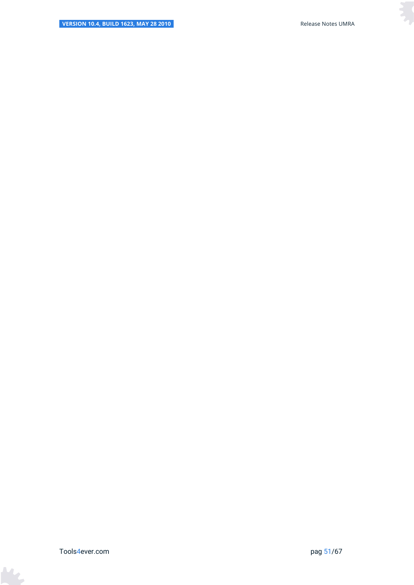

M.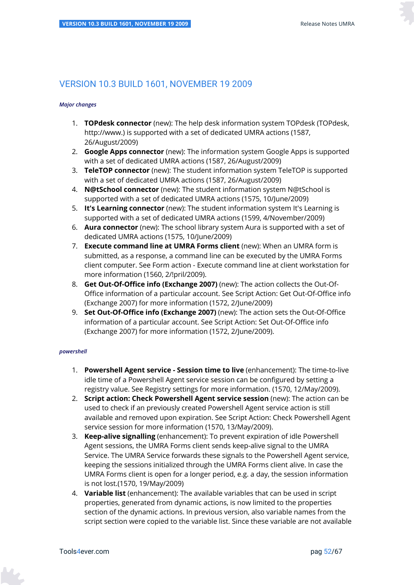### VERSION 10.3 BUILD 1601, NOVEMBER 19 2009

#### *Major changes*

- 1. **TOPdesk connector** (new): The help desk information system TOPdesk (TOPdesk, http://www.) is supported with a set of dedicated UMRA actions (1587, 26/August/2009)
- 2. **Google Apps connector** (new): The information system Google Apps is supported with a set of dedicated UMRA actions (1587, 26/August/2009)
- 3. **TeleTOP connector** (new): The student information system TeleTOP is supported with a set of dedicated UMRA actions (1587, 26/August/2009)
- 4. **N@tSchool connector** (new): The student information system N@tSchool is supported with a set of dedicated UMRA actions (1575, 10/June/2009)
- 5. **It's Learning connector** (new): The student information system It's Learning is supported with a set of dedicated UMRA actions (1599, 4/November/2009)
- 6. **Aura connector** (new): The school library system Aura is supported with a set of dedicated UMRA actions (1575, 10/June/2009)
- 7. **Execute command line at UMRA Forms client** (new): When an UMRA form is submitted, as a response, a command line can be executed by the UMRA Forms client computer. See Form action - Execute command line at client workstation for more information (1560, 2/!pril/2009).
- 8. **Get Out-Of-Office info (Exchange 2007)** (new): The action collects the Out-Of-Office information of a particular account. See Script Action: Get Out-Of-Office info (Exchange 2007) for more information (1572, 2/June/2009)
- 9. **Set Out-Of-Office info (Exchange 2007)** (new): The action sets the Out-Of-Office information of a particular account. See Script Action: Set Out-Of-Office info (Exchange 2007) for more information (1572, 2/June/2009).

#### *powershell*

- 1. **Powershell Agent service - Session time to live** (enhancement): The time-to-live idle time of a Powershell Agent service session can be configured by setting a registry value. See Registry settings for more information. (1570, 12/May/2009).
- 2. **Script action: Check Powershell Agent service session** (new): The action can be used to check if an previously created Powershell Agent service action is still available and removed upon expiration. See Script Action: Check Powershell Agent service session for more information (1570, 13/May/2009).
- 3. **Keep-alive signalling** (enhancement): To prevent expiration of idle Powershell Agent sessions, the UMRA Forms client sends keep-alive signal to the UMRA Service. The UMRA Service forwards these signals to the Powershell Agent service, keeping the sessions initialized through the UMRA Forms client alive. In case the UMRA Forms client is open for a longer period, e.g. a day, the session information is not lost.(1570, 19/May/2009)
- 4. **Variable list** (enhancement): The available variables that can be used in script properties, generated from dynamic actions, is now limited to the properties section of the dynamic actions. In previous version, also variable names from the script section were copied to the variable list. Since these variable are not available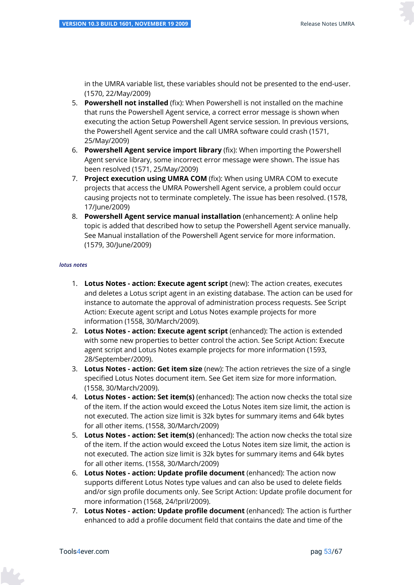in the UMRA variable list, these variables should not be presented to the end-user. (1570, 22/May/2009)

- 5. **Powershell not installed** (fix): When Powershell is not installed on the machine that runs the Powershell Agent service, a correct error message is shown when executing the action Setup Powershell Agent service session. In previous versions, the Powershell Agent service and the call UMRA software could crash (1571, 25/May/2009)
- 6. **Powershell Agent service import library** (fix): When importing the Powershell Agent service library, some incorrect error message were shown. The issue has been resolved (1571, 25/May/2009)
- 7. **Project execution using UMRA COM** (fix): When using UMRA COM to execute projects that access the UMRA Powershell Agent service, a problem could occur causing projects not to terminate completely. The issue has been resolved. (1578, 17/June/2009)
- 8. **Powershell Agent service manual installation** (enhancement): A online help topic is added that described how to setup the Powershell Agent service manually. See Manual installation of the Powershell Agent service for more information. (1579, 30/June/2009)

#### *lotus notes*

- 1. **Lotus Notes - action: Execute agent script** (new): The action creates, executes and deletes a Lotus script agent in an existing database. The action can be used for instance to automate the approval of administration process requests. See Script Action: Execute agent script and Lotus Notes example projects for more information (1558, 30/March/2009).
- 2. **Lotus Notes - action: Execute agent script** (enhanced): The action is extended with some new properties to better control the action. See Script Action: Execute agent script and Lotus Notes example projects for more information (1593, 28/September/2009).
- 3. **Lotus Notes - action: Get item size** (new): The action retrieves the size of a single specified Lotus Notes document item. See Get item size for more information. (1558, 30/March/2009).
- 4. **Lotus Notes - action: Set item(s)** (enhanced): The action now checks the total size of the item. If the action would exceed the Lotus Notes item size limit, the action is not executed. The action size limit is 32k bytes for summary items and 64k bytes for all other items. (1558, 30/March/2009)
- 5. **Lotus Notes - action: Set item(s)** (enhanced): The action now checks the total size of the item. If the action would exceed the Lotus Notes item size limit, the action is not executed. The action size limit is 32k bytes for summary items and 64k bytes for all other items. (1558, 30/March/2009)
- 6. **Lotus Notes - action: Update profile document** (enhanced): The action now supports different Lotus Notes type values and can also be used to delete fields and/or sign profile documents only. See Script Action: Update profile document for more information (1568, 24/!pril/2009).
- 7. **Lotus Notes - action: Update profile document** (enhanced): The action is further enhanced to add a profile document field that contains the date and time of the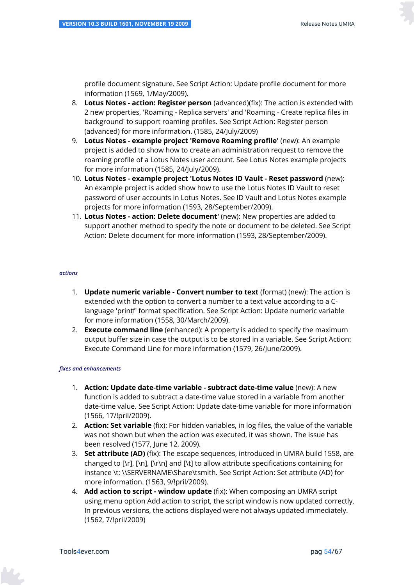profile document signature. See Script Action: Update profile document for more information (1569, 1/May/2009).

- 8. **Lotus Notes - action: Register person** (advanced)(fix): The action is extended with 2 new properties, 'Roaming - Replica servers' and 'Roaming - Create replica files in background' to support roaming profiles. See Script Action: Register person (advanced) for more information. (1585, 24/July/2009)
- 9. **Lotus Notes - example project 'Remove Roaming profile'** (new): An example project is added to show how to create an administration request to remove the roaming profile of a Lotus Notes user account. See Lotus Notes example projects for more information (1585, 24/July/2009).
- 10. **Lotus Notes - example project 'Lotus Notes ID Vault - Reset password** (new): An example project is added show how to use the Lotus Notes ID Vault to reset password of user accounts in Lotus Notes. See ID Vault and Lotus Notes example projects for more information (1593, 28/September/2009).
- 11. **Lotus Notes - action: Delete document'** (new): New properties are added to support another method to specify the note or document to be deleted. See Script Action: Delete document for more information (1593, 28/September/2009).

#### *actions*

- 1. **Update numeric variable - Convert number to text** (format) (new): The action is extended with the option to convert a number to a text value according to a Clanguage 'printf' format specification. See Script Action: Update numeric variable for more information (1558, 30/March/2009).
- 2. **Execute command line** (enhanced): A property is added to specify the maximum output buffer size in case the output is to be stored in a variable. See Script Action: Execute Command Line for more information (1579, 26/June/2009).

- 1. **Action: Update date-time variable - subtract date-time value** (new): A new function is added to subtract a date-time value stored in a variable from another date-time value. See Script Action: Update date-time variable for more information (1566, 17/!pril/2009).
- 2. **Action: Set variable** (fix): For hidden variables, in log files, the value of the variable was not shown but when the action was executed, it was shown. The issue has been resolved (1577, June 12, 2009).
- 3. **Set attribute (AD)** (fix): The escape sequences, introduced in UMRA build 1558, are changed to [\r], [\n], [\r\n] and [\t] to allow attribute specifications containing for instance \t: \\SERVERNAME\Share\tsmith. See Script Action: Set attribute (AD) for more information. (1563, 9/!pril/2009).
- 4. **Add action to script - window update** (fix): When composing an UMRA script using menu option Add action to script, the script window is now updated correctly. In previous versions, the actions displayed were not always updated immediately. (1562, 7/!pril/2009)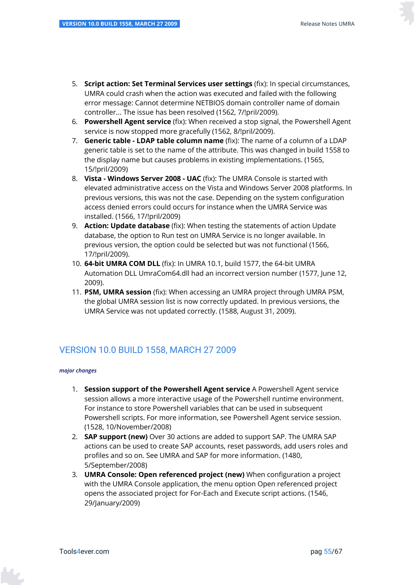- 5. **Script action: Set Terminal Services user settings** (fix): In special circumstances, UMRA could crash when the action was executed and failed with the following error message: Cannot determine NETBIOS domain controller name of domain controller... The issue has been resolved (1562, 7/!pril/2009).
- 6. **Powershell Agent service** (fix): When received a stop signal, the Powershell Agent service is now stopped more gracefully (1562, 8/!pril/2009).
- 7. **Generic table - LDAP table column name** (fix): The name of a column of a LDAP generic table is set to the name of the attribute. This was changed in build 1558 to the display name but causes problems in existing implementations. (1565, 15/!pril/2009)
- 8. **Vista - Windows Server 2008 - UAC** (fix): The UMRA Console is started with elevated administrative access on the Vista and Windows Server 2008 platforms. In previous versions, this was not the case. Depending on the system configuration access denied errors could occurs for instance when the UMRA Service was installed. (1566, 17/!pril/2009)
- 9. **Action: Update database** (fix): When testing the statements of action Update database, the option to Run test on UMRA Service is no longer available. In previous version, the option could be selected but was not functional (1566, 17/!pril/2009).
- 10. **64-bit UMRA COM DLL** (fix): In UMRA 10.1, build 1577, the 64-bit UMRA Automation DLL UmraCom64.dll had an incorrect version number (1577, June 12, 2009).
- 11. **PSM, UMRA session** (fix): When accessing an UMRA project through UMRA PSM, the global UMRA session list is now correctly updated. In previous versions, the UMRA Service was not updated correctly. (1588, August 31, 2009).

### VERSION 10.0 BUILD 1558, MARCH 27 2009

#### *major changes*

- 1. **Session support of the Powershell Agent service** A Powershell Agent service session allows a more interactive usage of the Powershell runtime environment. For instance to store Powershell variables that can be used in subsequent Powershell scripts. For more information, see Powershell Agent service session. (1528, 10/November/2008)
- 2. **SAP support (new)** Over 30 actions are added to support SAP. The UMRA SAP actions can be used to create SAP accounts, reset passwords, add users roles and profiles and so on. See UMRA and SAP for more information. (1480, 5/September/2008)
- 3. **UMRA Console: Open referenced project (new)** When configuration a project with the UMRA Console application, the menu option Open referenced project opens the associated project for For-Each and Execute script actions. (1546, 29/January/2009)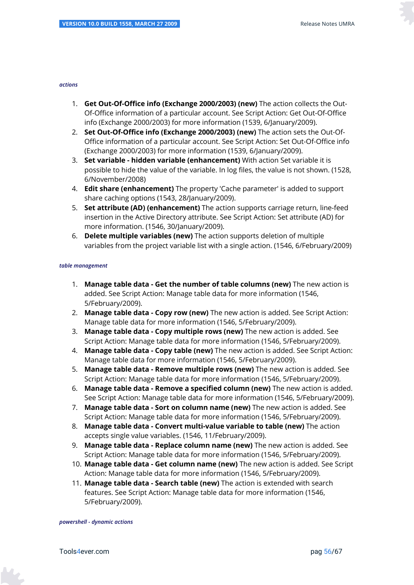#### *actions*

- 1. **Get Out-Of-Office info (Exchange 2000/2003) (new)** The action collects the Out-Of-Office information of a particular account. See Script Action: Get Out-Of-Office info (Exchange 2000/2003) for more information (1539, 6/January/2009).
- 2. **Set Out-Of-Office info (Exchange 2000/2003) (new)** The action sets the Out-Of-Office information of a particular account. See Script Action: Set Out-Of-Office info (Exchange 2000/2003) for more information (1539, 6/January/2009).
- 3. **Set variable - hidden variable (enhancement)** With action Set variable it is possible to hide the value of the variable. In log files, the value is not shown. (1528, 6/November/2008)
- 4. **Edit share (enhancement)** The property 'Cache parameter' is added to support share caching options (1543, 28/January/2009).
- 5. **Set attribute (AD) (enhancement)** The action supports carriage return, line-feed insertion in the Active Directory attribute. See Script Action: Set attribute (AD) for more information. (1546, 30/January/2009).
- 6. **Delete multiple variables (new)** The action supports deletion of multiple variables from the project variable list with a single action. (1546, 6/February/2009)

#### *table management*

- 1. **Manage table data - Get the number of table columns (new)** The new action is added. See Script Action: Manage table data for more information (1546, 5/February/2009).
- 2. **Manage table data - Copy row (new)** The new action is added. See Script Action: Manage table data for more information (1546, 5/February/2009).
- 3. **Manage table data - Copy multiple rows (new)** The new action is added. See Script Action: Manage table data for more information (1546, 5/February/2009).
- 4. **Manage table data - Copy table (new)** The new action is added. See Script Action: Manage table data for more information (1546, 5/February/2009).
- 5. **Manage table data - Remove multiple rows (new)** The new action is added. See Script Action: Manage table data for more information (1546, 5/February/2009).
- 6. **Manage table data - Remove a specified column (new)** The new action is added. See Script Action: Manage table data for more information (1546, 5/February/2009).
- 7. **Manage table data - Sort on column name (new)** The new action is added. See Script Action: Manage table data for more information (1546, 5/February/2009).
- 8. **Manage table data - Convert multi-value variable to table (new)** The action accepts single value variables. (1546, 11/February/2009).
- 9. **Manage table data - Replace column name (new)** The new action is added. See Script Action: Manage table data for more information (1546, 5/February/2009).
- 10. **Manage table data - Get column name (new)** The new action is added. See Script Action: Manage table data for more information (1546, 5/February/2009).
- 11. **Manage table data - Search table (new)** The action is extended with search features. See Script Action: Manage table data for more information (1546, 5/February/2009).

*powershell - dynamic actions*

Tools4ever.com pag 56/67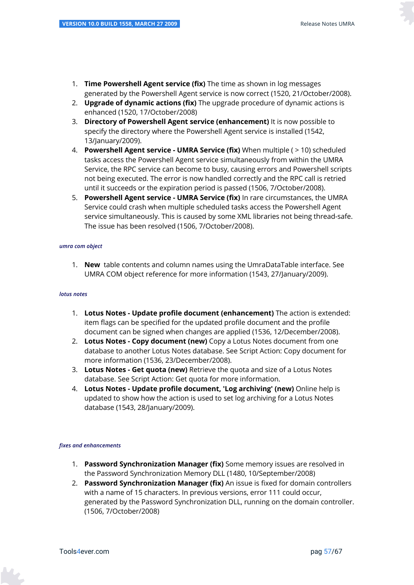- 1. **Time Powershell Agent service (fix)** The time as shown in log messages generated by the Powershell Agent service is now correct (1520, 21/October/2008).
- 2. **Upgrade of dynamic actions (fix)** The upgrade procedure of dynamic actions is enhanced (1520, 17/October/2008)
- 3. **Directory of Powershell Agent service (enhancement)** It is now possible to specify the directory where the Powershell Agent service is installed (1542, 13/January/2009).
- 4. **Powershell Agent service - UMRA Service (fix)** When multiple ( > 10) scheduled tasks access the Powershell Agent service simultaneously from within the UMRA Service, the RPC service can become to busy, causing errors and Powershell scripts not being executed. The error is now handled correctly and the RPC call is retried until it succeeds or the expiration period is passed (1506, 7/October/2008).
- 5. **Powershell Agent service - UMRA Service (fix)** In rare circumstances, the UMRA Service could crash when multiple scheduled tasks access the Powershell Agent service simultaneously. This is caused by some XML libraries not being thread-safe. The issue has been resolved (1506, 7/October/2008).

#### *umra com object*

1. **New** table contents and column names using the UmraDataTable interface. See UMRA COM object reference for more information (1543, 27/January/2009).

#### *lotus notes*

- 1. **Lotus Notes - Update profile document (enhancement)** The action is extended: item flags can be specified for the updated profile document and the profile document can be signed when changes are applied (1536, 12/December/2008).
- 2. **Lotus Notes - Copy document (new)** Copy a Lotus Notes document from one database to another Lotus Notes database. See Script Action: Copy document for more information (1536, 23/December/2008).
- 3. **Lotus Notes - Get quota (new)** Retrieve the quota and size of a Lotus Notes database. See Script Action: Get quota for more information.
- 4. **Lotus Notes - Update profile document, 'Log archiving' (new)** Online help is updated to show how the action is used to set log archiving for a Lotus Notes database (1543, 28/January/2009).

- 1. **Password Synchronization Manager (fix)** Some memory issues are resolved in the Password Synchronization Memory DLL (1480, 10/September/2008)
- 2. **Password Synchronization Manager (fix)** An issue is fixed for domain controllers with a name of 15 characters. In previous versions, error 111 could occur, generated by the Password Synchronization DLL, running on the domain controller. (1506, 7/October/2008)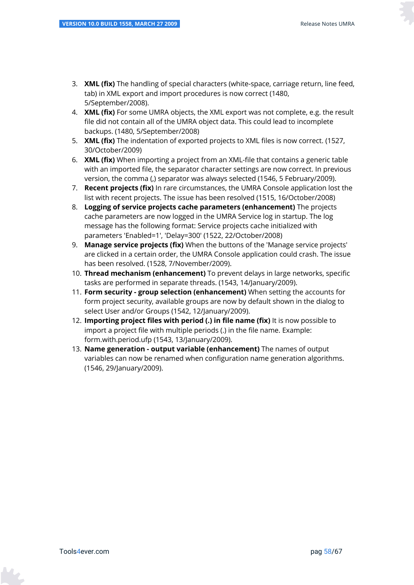- 3. **XML (fix)** The handling of special characters (white-space, carriage return, line feed, tab) in XML export and import procedures is now correct (1480, 5/September/2008).
- 4. **XML (fix)** For some UMRA objects, the XML export was not complete, e.g. the result file did not contain all of the UMRA object data. This could lead to incomplete backups. (1480, 5/September/2008)
- 5. **XML (fix)** The indentation of exported projects to XML files is now correct. (1527, 30/October/2009)
- 6. **XML (fix)** When importing a project from an XML-file that contains a generic table with an imported file, the separator character settings are now correct. In previous version, the comma (,) separator was always selected (1546, 5 February/2009).
- 7. **Recent projects (fix)** In rare circumstances, the UMRA Console application lost the list with recent projects. The issue has been resolved (1515, 16/October/2008)
- 8. **Logging of service projects cache parameters (enhancement)** The projects cache parameters are now logged in the UMRA Service log in startup. The log message has the following format: Service projects cache initialized with parameters 'Enabled=1', 'Delay=300' (1522, 22/October/2008)
- 9. **Manage service projects (fix)** When the buttons of the 'Manage service projects' are clicked in a certain order, the UMRA Console application could crash. The issue has been resolved. (1528, 7/November/2009).
- 10. **Thread mechanism (enhancement)** To prevent delays in large networks, specific tasks are performed in separate threads. (1543, 14/January/2009).
- 11. **Form security - group selection (enhancement)** When setting the accounts for form project security, available groups are now by default shown in the dialog to select User and/or Groups (1542, 12/January/2009).
- 12. **Importing project files with period (.) in file name (fix)** It is now possible to import a project file with multiple periods (.) in the file name. Example: form.with.period.ufp (1543, 13/January/2009).
- 13. **Name generation - output variable (enhancement)** The names of output variables can now be renamed when configuration name generation algorithms. (1546, 29/January/2009).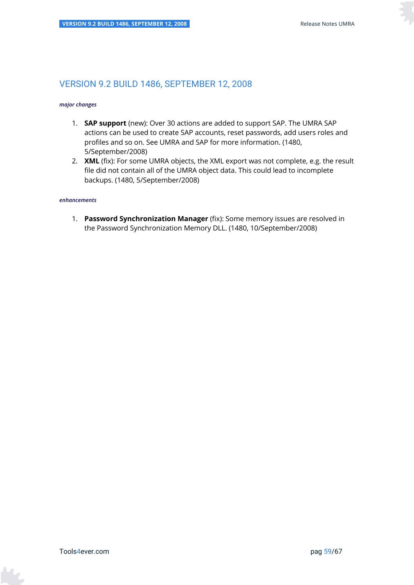### VERSION 9.2 BUILD 1486, SEPTEMBER 12, 2008

#### *major changes*

- 1. **SAP support** (new): Over 30 actions are added to support SAP. The UMRA SAP actions can be used to create SAP accounts, reset passwords, add users roles and profiles and so on. See UMRA and SAP for more information. (1480, 5/September/2008)
- 2. **XML** (fix): For some UMRA objects, the XML export was not complete, e.g. the result file did not contain all of the UMRA object data. This could lead to incomplete backups. (1480, 5/September/2008)

### *enhancements*

1. **Password Synchronization Manager** (fix): Some memory issues are resolved in the Password Synchronization Memory DLL. (1480, 10/September/2008)

 $\mathcal{L}$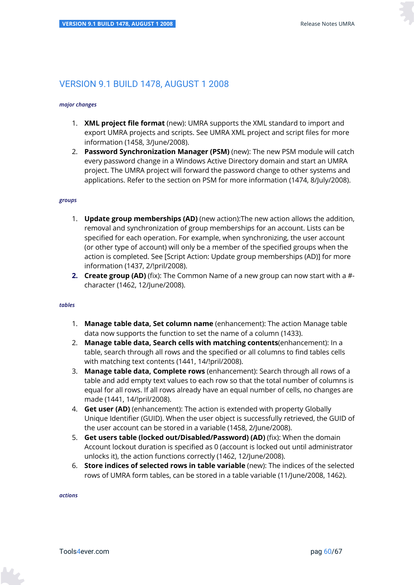### VERSION 9.1 BUILD 1478, AUGUST 1 2008

#### *major changes*

- 1. **XML project file format** (new): UMRA supports the XML standard to import and export UMRA projects and scripts. See UMRA XML project and script files for more information (1458, 3/June/2008).
- 2. **Password Synchronization Manager (PSM)** (new): The new PSM module will catch every password change in a Windows Active Directory domain and start an UMRA project. The UMRA project will forward the password change to other systems and applications. Refer to the section on PSM for more information (1474, 8/July/2008).

### *groups*

- 1. **Update group memberships (AD)** (new action):The new action allows the addition, removal and synchronization of group memberships for an account. Lists can be specified for each operation. For example, when synchronizing, the user account (or other type of account) will only be a member of the specified groups when the action is completed. See [Script Action: Update group memberships (AD)] for more information (1437, 2/!pril/2008).
- **2. Create group (AD)** (fix): The Common Name of a new group can now start with a # character (1462, 12/June/2008).

#### *tables*

- 1. **Manage table data, Set column name** (enhancement): The action Manage table data now supports the function to set the name of a column (1433).
- 2. **Manage table data, Search cells with matching contents**(enhancement): In a table, search through all rows and the specified or all columns to find tables cells with matching text contents (1441, 14/!pril/2008).
- 3. **Manage table data, Complete rows** (enhancement): Search through all rows of a table and add empty text values to each row so that the total number of columns is equal for all rows. If all rows already have an equal number of cells, no changes are made (1441, 14/!pril/2008).
- 4. **Get user (AD)** (enhancement): The action is extended with property Globally Unique Identifier (GUID). When the user object is successfully retrieved, the GUID of the user account can be stored in a variable (1458, 2/June/2008).
- 5. **Get users table (locked out/Disabled/Password) (AD)** (fix): When the domain Account lockout duration is specified as 0 (account is locked out until administrator unlocks it), the action functions correctly (1462, 12/June/2008).
- 6. **Store indices of selected rows in table variable** (new): The indices of the selected rows of UMRA form tables, can be stored in a table variable (11/June/2008, 1462).

*actions*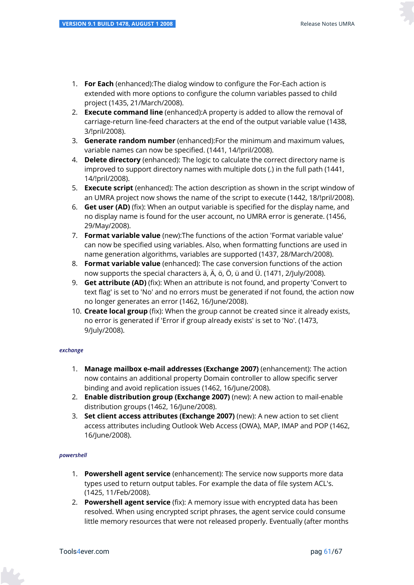- 1. **For Each** (enhanced):The dialog window to configure the For-Each action is extended with more options to configure the column variables passed to child project (1435, 21/March/2008).
- 2. **Execute command line** (enhanced):A property is added to allow the removal of carriage-return line-feed characters at the end of the output variable value (1438, 3/!pril/2008).
- 3. **Generate random number** (enhanced):For the minimum and maximum values, variable names can now be specified. (1441, 14/!pril/2008).
- 4. **Delete directory** (enhanced): The logic to calculate the correct directory name is improved to support directory names with multiple dots (.) in the full path (1441, 14/!pril/2008).
- 5. **Execute script** (enhanced): The action description as shown in the script window of an UMRA project now shows the name of the script to execute (1442, 18/!pril/2008).
- 6. **Get user (AD)** (fix): When an output variable is specified for the display name, and no display name is found for the user account, no UMRA error is generate. (1456, 29/May/2008).
- 7. **Format variable value** (new):The functions of the action 'Format variable value' can now be specified using variables. Also, when formatting functions are used in name generation algorithms, variables are supported (1437, 28/March/2008).
- 8. **Format variable value** (enhanced): The case conversion functions of the action now supports the special characters ä, Ä, ö, Ö, ü and Ü. (1471, 2/July/2008).
- 9. **Get attribute (AD)** (fix): When an attribute is not found, and property 'Convert to text flag' is set to 'No' and no errors must be generated if not found, the action now no longer generates an error (1462, 16/June/2008).
- 10. **Create local group** (fix): When the group cannot be created since it already exists, no error is generated if 'Error if group already exists' is set to 'No'. (1473, 9/July/2008).

#### *exchange*

- 1. **Manage mailbox e-mail addresses (Exchange 2007)** (enhancement): The action now contains an additional property Domain controller to allow specific server binding and avoid replication issues (1462, 16/June/2008).
- 2. **Enable distribution group (Exchange 2007)** (new): A new action to mail-enable distribution groups (1462, 16/June/2008).
- 3. **Set client access attributes (Exchange 2007)** (new): A new action to set client access attributes including Outlook Web Access (OWA), MAP, IMAP and POP (1462, 16/June/2008).

### *powershell*

- 1. **Powershell agent service** (enhancement): The service now supports more data types used to return output tables. For example the data of file system ACL's. (1425, 11/Feb/2008).
- 2. **Powershell agent service** (fix): A memory issue with encrypted data has been resolved. When using encrypted script phrases, the agent service could consume little memory resources that were not released properly. Eventually (after months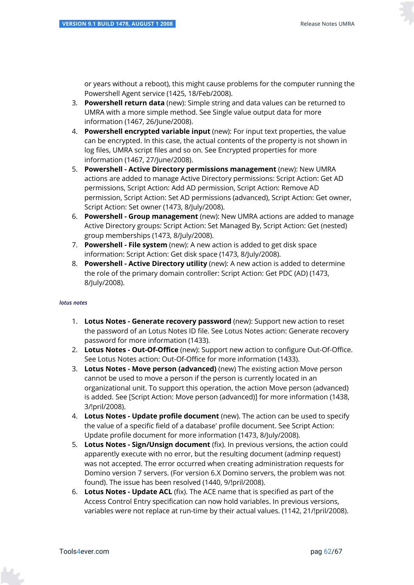or years without a reboot), this might cause problems for the computer running the Powershell Agent service (1425, 18/Feb/2008).

- 3. **Powershell return data** (new): Simple string and data values can be returned to UMRA with a more simple method. See Single value output data for more information (1467, 26/June/2008).
- 4. **Powershell encrypted variable input** (new): For input text properties, the value can be encrypted. In this case, the actual contents of the property is not shown in log files, UMRA script files and so on. See Encrypted properties for more information (1467, 27/June/2008).
- 5. **Powershell - Active Directory permissions management** (new): New UMRA actions are added to manage Active Directory permissions: Script Action: Get AD permissions, Script Action: Add AD permission, Script Action: Remove AD permission, Script Action: Set AD permissions (advanced), Script Action: Get owner, Script Action: Set owner (1473, 8/July/2008).
- 6. **Powershell - Group management** (new): New UMRA actions are added to manage Active Directory groups: Script Action: Set Managed By, Script Action: Get (nested) group memberships (1473, 8/July/2008).
- 7. **Powershell - File system** (new): A new action is added to get disk space information: Script Action: Get disk space (1473, 8/July/2008).
- 8. **Powershell - Active Directory utility** (new): A new action is added to determine the role of the primary domain controller: Script Action: Get PDC (AD) (1473, 8/July/2008).

#### *lotus notes*

- 1. **Lotus Notes - Generate recovery password** (new): Support new action to reset the password of an Lotus Notes ID file. See Lotus Notes action: Generate recovery password for more information (1433).
- 2. **Lotus Notes - Out-Of-Office** (new): Support new action to configure Out-Of-Office. See Lotus Notes action: Out-Of-Office for more information (1433).
- 3. **Lotus Notes - Move person (advanced)** (new) The existing action Move person cannot be used to move a person if the person is currently located in an organizational unit. To support this operation, the action Move person (advanced) is added. See [Script Action: Move person (advanced)] for more information (1438, 3/!pril/2008).
- 4. **Lotus Notes - Update profile document** (new). The action can be used to specify the value of a specific field of a database' profile document. See Script Action: Update profile document for more information (1473, 8/July/2008).
- 5. **Lotus Notes - Sign/Unsign document** (fix). In previous versions, the action could apparently execute with no error, but the resulting document (adminp request) was not accepted. The error occurred when creating administration requests for Domino version 7 servers. (For version 6.X Domino servers, the problem was not found). The issue has been resolved (1440, 9/!pril/2008).
- 6. **Lotus Notes - Update ACL** (fix). The ACE name that is specified as part of the Access Control Entry specification can now hold variables. In previous versions, variables were not replace at run-time by their actual values. (1142, 21/!pril/2008).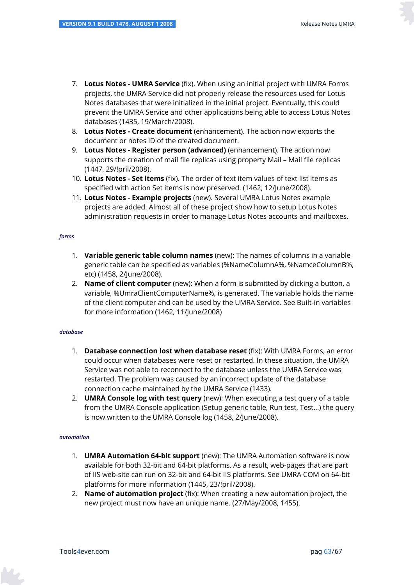- 7. **Lotus Notes - UMRA Service** (fix). When using an initial project with UMRA Forms projects, the UMRA Service did not properly release the resources used for Lotus Notes databases that were initialized in the initial project. Eventually, this could prevent the UMRA Service and other applications being able to access Lotus Notes databases (1435, 19/March/2008).
- 8. **Lotus Notes - Create document** (enhancement). The action now exports the document or notes ID of the created document.
- 9. **Lotus Notes - Register person (advanced)** (enhancement). The action now supports the creation of mail file replicas using property Mail – Mail file replicas (1447, 29/!pril/2008).
- 10. **Lotus Notes - Set items** (fix). The order of text item values of text list items as specified with action Set items is now preserved. (1462, 12/June/2008).
- 11. **Lotus Notes - Example projects** (new). Several UMRA Lotus Notes example projects are added. Almost all of these project show how to setup Lotus Notes administration requests in order to manage Lotus Notes accounts and mailboxes.

#### *forms*

- 1. **Variable generic table column names** (new): The names of columns in a variable generic table can be specified as variables (%NameColumnA%, %NamceColumnB%, etc) (1458, 2/June/2008).
- 2. **Name of client computer** (new): When a form is submitted by clicking a button, a variable, %UmraClientComputerName%, is generated. The variable holds the name of the client computer and can be used by the UMRA Service. See Built-in variables for more information (1462, 11/June/2008)

### *database*

- 1. **Database connection lost when database reset** (fix): With UMRA Forms, an error could occur when databases were reset or restarted. In these situation, the UMRA Service was not able to reconnect to the database unless the UMRA Service was restarted. The problem was caused by an incorrect update of the database connection cache maintained by the UMRA Service (1433).
- 2. **UMRA Console log with test query** (new): When executing a test query of a table from the UMRA Console application (Setup generic table, Run test, Test...) the query is now written to the UMRA Console log (1458, 2/June/2008).

#### *automation*

- 1. **UMRA Automation 64-bit support** (new): The UMRA Automation software is now available for both 32-bit and 64-bit platforms. As a result, web-pages that are part of IIS web-site can run on 32-bit and 64-bit IIS platforms. See UMRA COM on 64-bit platforms for more information (1445, 23/!pril/2008).
- 2. **Name of automation project** (fix): When creating a new automation project, the new project must now have an unique name. (27/May/2008, 1455).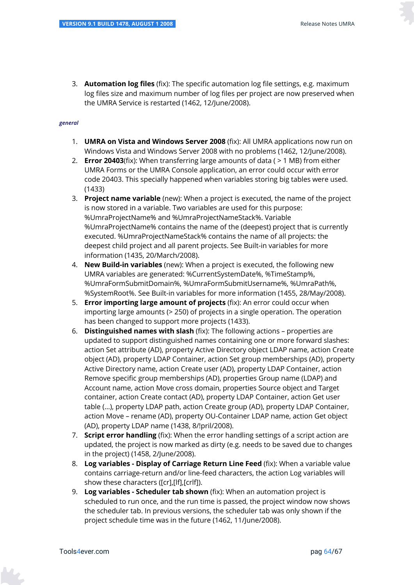3. **Automation log files** (fix): The specific automation log file settings, e.g. maximum log files size and maximum number of log files per project are now preserved when the UMRA Service is restarted (1462, 12/June/2008).

#### *general*

- 1. **UMRA on Vista and Windows Server 2008** (fix): All UMRA applications now run on Windows Vista and Windows Server 2008 with no problems (1462, 12/June/2008).
- 2. **Error 20403**(fix): When transferring large amounts of data ( > 1 MB) from either UMRA Forms or the UMRA Console application, an error could occur with error code 20403. This specially happened when variables storing big tables were used. (1433)
- 3. **Project name variable** (new): When a project is executed, the name of the project is now stored in a variable. Two variables are used for this purpose: %UmraProjectName% and %UmraProjectNameStack%. Variable %UmraProjectName% contains the name of the (deepest) project that is currently executed. %UmraProjectNameStack% contains the name of all projects: the deepest child project and all parent projects. See Built-in variables for more information (1435, 20/March/2008).
- 4. **New Build-in variables** (new): When a project is executed, the following new UMRA variables are generated: %CurrentSystemDate%, %TimeStamp%, %UmraFormSubmitDomain%, %UmraFormSubmitUsername%, %UmraPath%, %SystemRoot%. See Built-in variables for more information (1455, 28/May/2008).
- 5. **Error importing large amount of projects** (fix): An error could occur when importing large amounts (> 250) of projects in a single operation. The operation has been changed to support more projects (1433).
- 6. **Distinguished names with slash** (fix): The following actions properties are updated to support distinguished names containing one or more forward slashes: action Set attribute (AD), property Active Directory object LDAP name, action Create object (AD), property LDAP Container, action Set group memberships (AD), property Active Directory name, action Create user (AD), property LDAP Container, action Remove specific group memberships (AD), properties Group name (LDAP) and Account name, action Move cross domain, properties Source object and Target container, action Create contact (AD), property LDAP Container, action Get user table (…), property LDAP path, action Create group (AD), property LDAP Container, action Move – rename (AD), property OU-Container LDAP name, action Get object (AD), property LDAP name (1438, 8/!pril/2008).
- 7. **Script error handling** (fix): When the error handling settings of a script action are updated, the project is now marked as dirty (e.g. needs to be saved due to changes in the project) (1458, 2/June/2008).
- 8. **Log variables - Display of Carriage Return Line Feed** (fix): When a variable value contains carriage-return and/or line-feed characters, the action Log variables will show these characters ([cr],[lf],[crlf]).
- 9. **Log variables - Scheduler tab shown** (fix): When an automation project is scheduled to run once, and the run time is passed, the project window now shows the scheduler tab. In previous versions, the scheduler tab was only shown if the project schedule time was in the future (1462, 11/June/2008).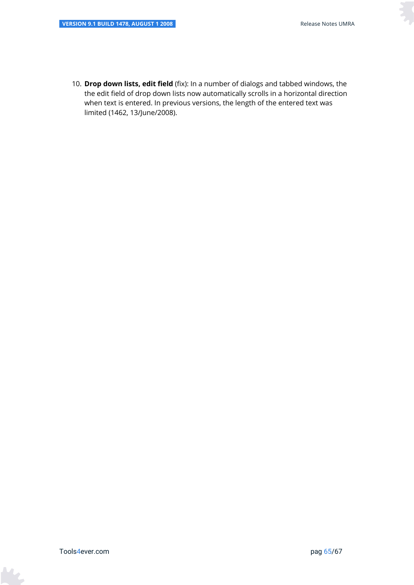$\mathbf{z}$ 

10. **Drop down lists, edit field** (fix): In a number of dialogs and tabbed windows, the the edit field of drop down lists now automatically scrolls in a horizontal direction when text is entered. In previous versions, the length of the entered text was limited (1462, 13/June/2008).

 $M_{\chi}$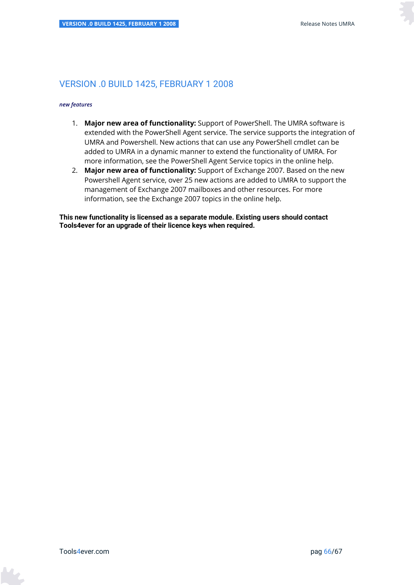### VERSION .0 BUILD 1425, FEBRUARY 1 2008

#### *new features*

- 1. **Major new area of functionality:** Support of PowerShell. The UMRA software is extended with the PowerShell Agent service. The service supports the integration of UMRA and Powershell. New actions that can use any PowerShell cmdlet can be added to UMRA in a dynamic manner to extend the functionality of UMRA. For more information, see the PowerShell Agent Service topics in the online help.
- 2. **Major new area of functionality:** Support of Exchange 2007. Based on the new Powershell Agent service, over 25 new actions are added to UMRA to support the management of Exchange 2007 mailboxes and other resources. For more information, see the Exchange 2007 topics in the online help.

**This new functionality is licensed as a separate module. Existing users should contact Tools4ever for an upgrade of their licence keys when required.**